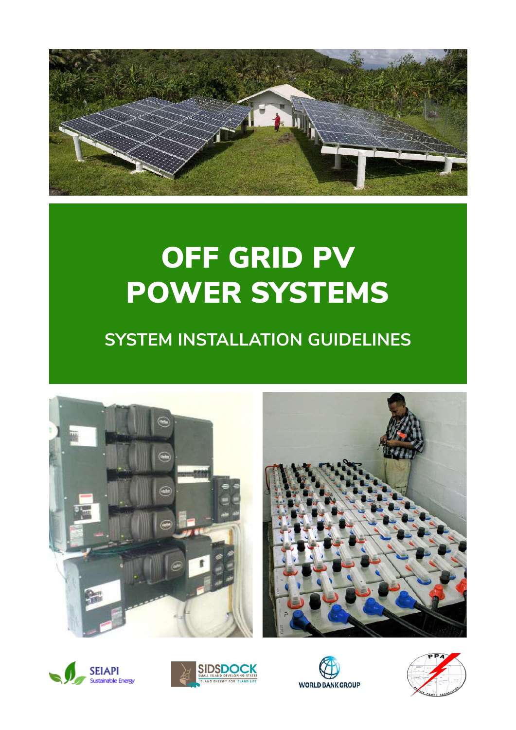

# OFF GRID PV POWER SYSTEMS

# **SYSTEM INSTALLATION GUIDELINES**









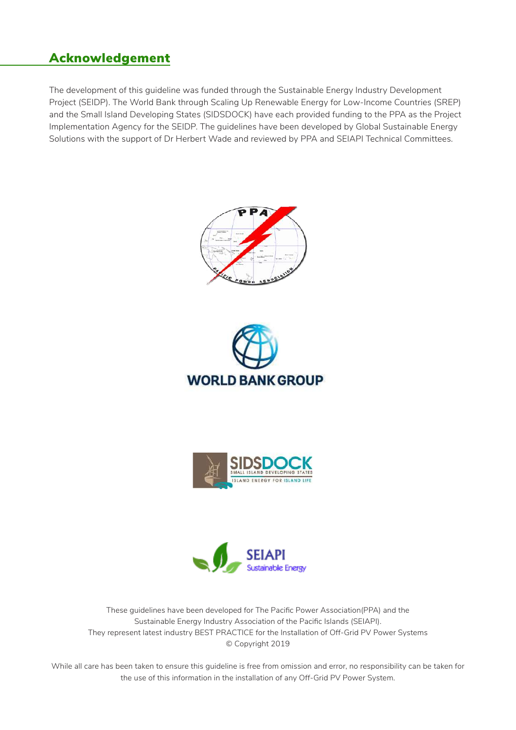### Acknowledgement

The development of this guideline was funded through the Sustainable Energy Industry Development Project (SEIDP). The World Bank through Scaling Up Renewable Energy for Low-Income Countries (SREP) and the Small Island Developing States (SIDSDOCK) have each provided funding to the PPA as the Project Implementation Agency for the SEIDP. The guidelines have been developed by Global Sustainable Energy Solutions with the support of Dr Herbert Wade and reviewed by PPA and SEIAPI Technical Committees.









These guidelines have been developed for The Pacific Power Association(PPA) and the Sustainable Energy Industry Association of the Pacific Islands (SEIAPI). They represent latest industry BEST PRACTICE for the Installation of Off-Grid PV Power Systems © Copyright 2019

While all care has been taken to ensure this guideline is free from omission and error, no responsibility can be taken for the use of this information in the installation of any Off-Grid PV Power System.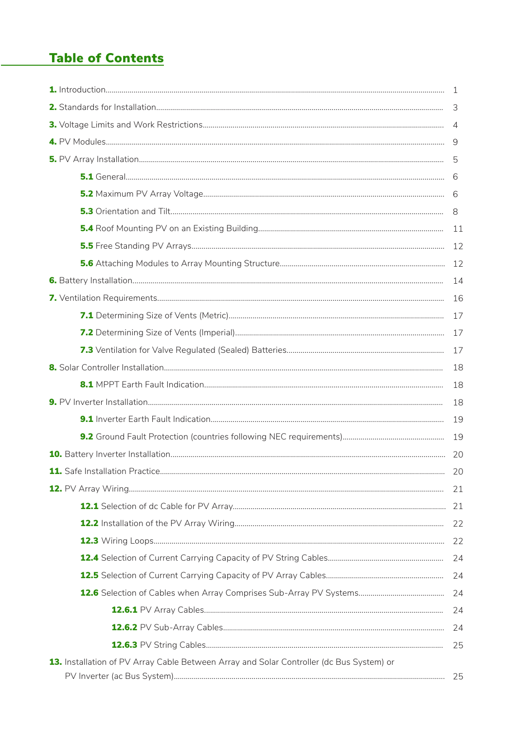# **Table of Contents**

|                                                                                          | 3              |
|------------------------------------------------------------------------------------------|----------------|
|                                                                                          | $\overline{4}$ |
|                                                                                          | 9              |
|                                                                                          |                |
|                                                                                          |                |
|                                                                                          |                |
|                                                                                          |                |
|                                                                                          | 11             |
|                                                                                          | 12             |
|                                                                                          | 12             |
|                                                                                          | 14             |
|                                                                                          | 16             |
|                                                                                          | 17             |
|                                                                                          | 17             |
|                                                                                          | 17             |
|                                                                                          | 18             |
|                                                                                          | 18             |
|                                                                                          | 18             |
|                                                                                          | 19             |
|                                                                                          | 19             |
|                                                                                          | 20             |
| <b>11.</b> Safe Installation Practice.                                                   | 20             |
|                                                                                          |                |
|                                                                                          |                |
|                                                                                          |                |
|                                                                                          |                |
|                                                                                          | 24             |
|                                                                                          |                |
|                                                                                          |                |
|                                                                                          | 24             |
|                                                                                          | 24             |
|                                                                                          | 25             |
| 13. Installation of PV Array Cable Between Array and Solar Controller (dc Bus System) or |                |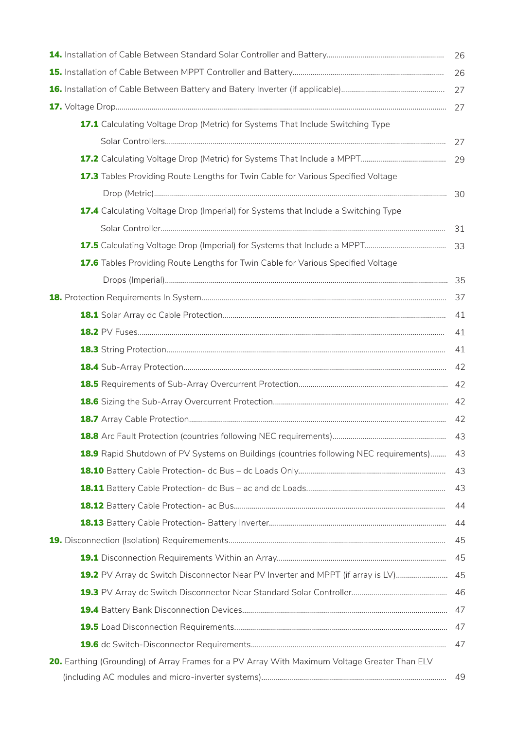|                                                                                               | 26 |
|-----------------------------------------------------------------------------------------------|----|
|                                                                                               | 26 |
|                                                                                               | 27 |
|                                                                                               | 27 |
| 17.1 Calculating Voltage Drop (Metric) for Systems That Include Switching Type                |    |
|                                                                                               | 27 |
|                                                                                               | 29 |
| 17.3 Tables Providing Route Lengths for Twin Cable for Various Specified Voltage              |    |
|                                                                                               | 30 |
| <b>17.4</b> Calculating Voltage Drop (Imperial) for Systems that Include a Switching Type     |    |
|                                                                                               | 31 |
|                                                                                               |    |
| 17.6 Tables Providing Route Lengths for Twin Cable for Various Specified Voltage              |    |
|                                                                                               |    |
|                                                                                               | 37 |
|                                                                                               | 41 |
|                                                                                               | 41 |
|                                                                                               | 41 |
|                                                                                               | 42 |
|                                                                                               |    |
|                                                                                               |    |
|                                                                                               | 42 |
|                                                                                               | 43 |
| <b>18.9</b> Rapid Shutdown of PV Systems on Buildings (countries following NEC requirements)  | 43 |
|                                                                                               | 43 |
|                                                                                               | 43 |
|                                                                                               | 44 |
|                                                                                               | 44 |
|                                                                                               | 45 |
|                                                                                               | 45 |
| 19.2 PV Array dc Switch Disconnector Near PV Inverter and MPPT (if array is LV) 45            |    |
|                                                                                               |    |
|                                                                                               |    |
|                                                                                               |    |
|                                                                                               | 47 |
| 20. Earthing (Grounding) of Array Frames for a PV Array With Maximum Voltage Greater Than ELV |    |
|                                                                                               | 49 |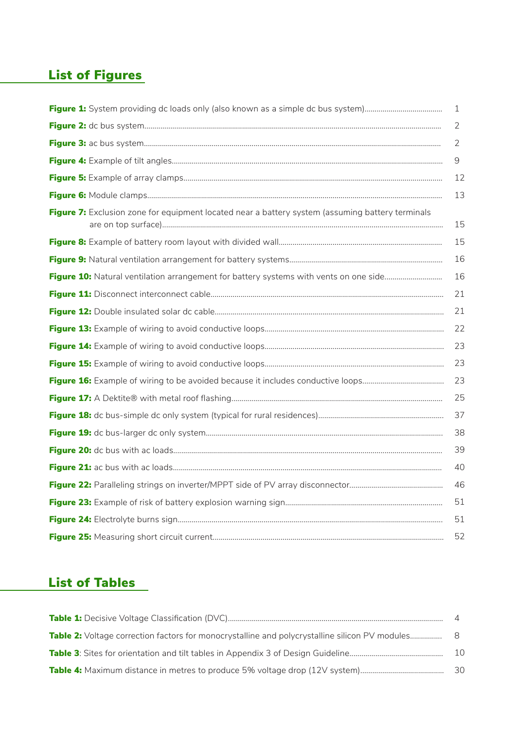# List of Figures

|                                                                                                  | 1  |
|--------------------------------------------------------------------------------------------------|----|
|                                                                                                  | 2  |
|                                                                                                  | 2  |
|                                                                                                  | 9  |
|                                                                                                  | 12 |
|                                                                                                  | 13 |
| Figure 7: Exclusion zone for equipment located near a battery system (assuming battery terminals | 15 |
|                                                                                                  | 15 |
|                                                                                                  | 16 |
|                                                                                                  | 16 |
|                                                                                                  | 21 |
|                                                                                                  | 21 |
|                                                                                                  | 22 |
|                                                                                                  | 23 |
|                                                                                                  | 23 |
|                                                                                                  | 23 |
|                                                                                                  | 25 |
|                                                                                                  | 37 |
|                                                                                                  | 38 |
|                                                                                                  | 39 |
|                                                                                                  | 40 |
|                                                                                                  | 46 |
|                                                                                                  | 51 |
|                                                                                                  | 51 |
|                                                                                                  | 52 |

# List of Tables

| Table 2: Voltage correction factors for monocrystalline and polycrystalline silicon PV modules 8 |      |
|--------------------------------------------------------------------------------------------------|------|
|                                                                                                  | - 10 |
|                                                                                                  | -30  |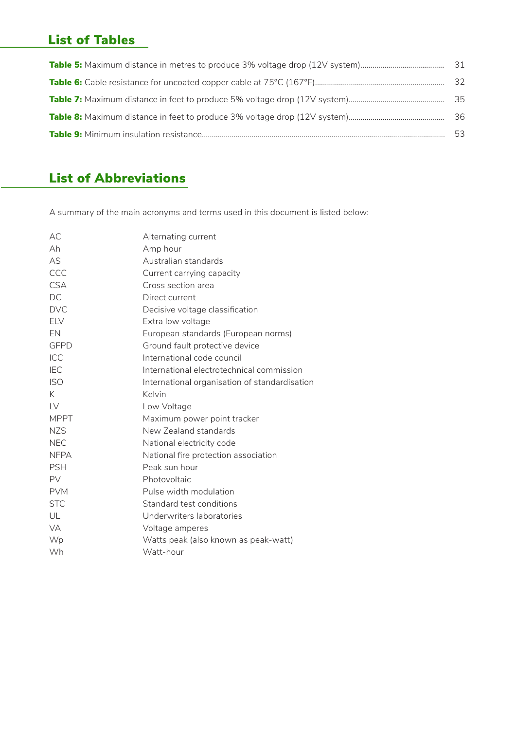# List of Tables

| 31 |
|----|
| 32 |
| 35 |
| 36 |
| 53 |
|    |

# List of Abbreviations

A summary of the main acronyms and terms used in this document is listed below:

| AC.           | Alternating current                           |
|---------------|-----------------------------------------------|
| Ah            | Amp hour                                      |
| AS            | Australian standards                          |
| CCC           | Current carrying capacity                     |
| <b>CSA</b>    | Cross section area                            |
| DC            | Direct current                                |
| <b>DVC</b>    | Decisive voltage classification               |
| <b>ELV</b>    | Extra low voltage                             |
| EN            | European standards (European norms)           |
| <b>GFPD</b>   | Ground fault protective device                |
| ICC           | International code council                    |
| <b>IEC</b>    | International electrotechnical commission     |
| <b>ISO</b>    | International organisation of standardisation |
| K.            | Kelvin                                        |
| $\mathsf{IV}$ | Low Voltage                                   |
| <b>MPPT</b>   | Maximum power point tracker                   |
| <b>NZS</b>    | New Zealand standards                         |
| <b>NEC</b>    | National electricity code                     |
| <b>NFPA</b>   | National fire protection association          |
| <b>PSH</b>    | Peak sun hour                                 |
| <b>PV</b>     | Photovoltaic                                  |
| <b>PVM</b>    | Pulse width modulation                        |
| <b>STC</b>    | Standard test conditions                      |
| UL            | Underwriters laboratories                     |
| <b>VA</b>     | Voltage amperes                               |
| Wp            | Watts peak (also known as peak-watt)          |
| Wh            | Watt-hour                                     |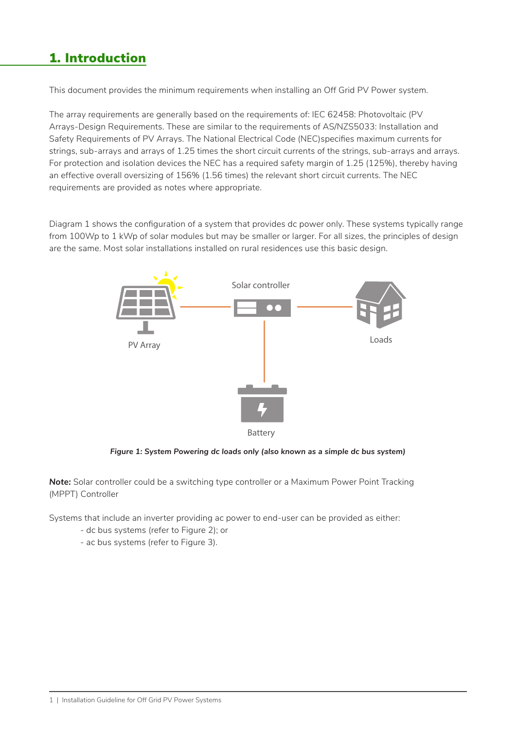# 1. Introduction

This document provides the minimum requirements when installing an Off Grid PV Power system.

The array requirements are generally based on the requirements of: IEC 62458: Photovoltaic (PV Arrays-Design Requirements. These are similar to the requirements of AS/NZS5033: Installation and Safety Requirements of PV Arrays. The National Electrical Code (NEC)specifies maximum currents for strings, sub-arrays and arrays of 1.25 times the short circuit currents of the strings, sub-arrays and arrays. For protection and isolation devices the NEC has a required safety margin of 1.25 (125%), thereby having an effective overall oversizing of 156% (1.56 times) the relevant short circuit currents. The NEC requirements are provided as notes where appropriate.

Diagram 1 shows the configuration of a system that provides dc power only. These systems typically range from 100Wp to 1 kWp of solar modules but may be smaller or larger. For all sizes, the principles of design are the same. Most solar installations installed on rural residences use this basic design.



*Figure 1: System Powering dc loads only (also known as a simple dc bus system)*

**Note:** Solar controller could be a switching type controller or a Maximum Power Point Tracking (MPPT) Controller

Systems that include an inverter providing ac power to end-user can be provided as either:

- dc bus systems (refer to Figure 2); or
- ac bus systems (refer to Figure 3).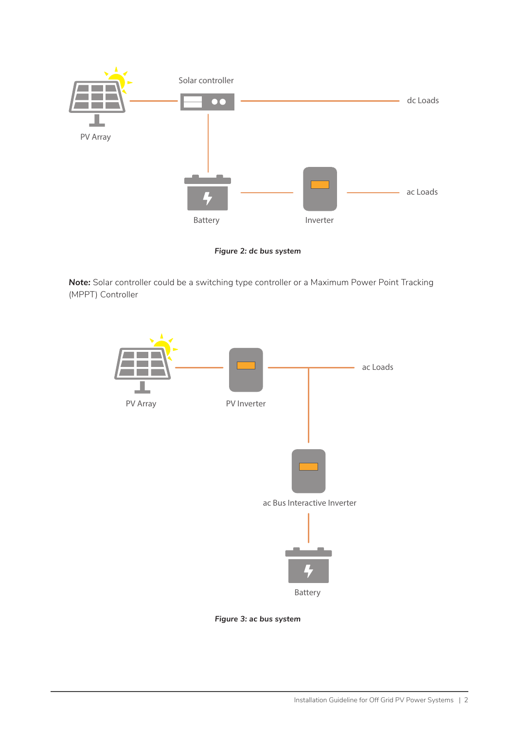



*Note:* Solar controller could be a switching type controller or a Maximum Power Point Tracking (MPPT) Controller



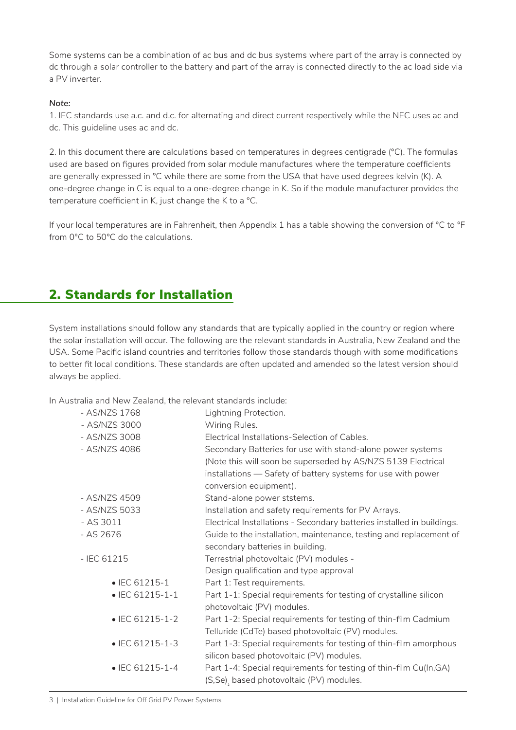Some systems can be a combination of ac bus and dc bus systems where part of the array is connected by dc through a solar controller to the battery and part of the array is connected directly to the ac load side via a PV inverter.

#### *Note:*

1. IEC standards use a.c. and d.c. for alternating and direct current respectively while the NEC uses ac and dc. This guideline uses ac and dc.

2. In this document there are calculations based on temperatures in degrees centigrade (°C). The formulas used are based on figures provided from solar module manufactures where the temperature coefficients are generally expressed in °C while there are some from the USA that have used degrees kelvin (K). A one-degree change in C is equal to a one-degree change in K. So if the module manufacturer provides the temperature coefficient in K, just change the K to a °C.

If your local temperatures are in Fahrenheit, then Appendix 1 has a table showing the conversion of °C to °F from 0°C to 50°C do the calculations.

#### 2. Standards for Installation

System installations should follow any standards that are typically applied in the country or region where the solar installation will occur. The following are the relevant standards in Australia, New Zealand and the USA. Some Pacific island countries and territories follow those standards though with some modifications to better fit local conditions. These standards are often updated and amended so the latest version should always be applied.

In Australia and New Zealand, the relevant standards include:

| - AS/NZS 1768           | Lightning Protection.                                                  |
|-------------------------|------------------------------------------------------------------------|
| - AS/NZS 3000           | Wiring Rules.                                                          |
| - AS/NZS 3008           | Electrical Installations-Selection of Cables.                          |
| - AS/NZS 4086           | Secondary Batteries for use with stand-alone power systems             |
|                         | (Note this will soon be superseded by AS/NZS 5139 Electrical           |
|                         | installations - Safety of battery systems for use with power           |
|                         | conversion equipment).                                                 |
| - AS/NZS 4509           | Stand-alone power ststems.                                             |
| - AS/NZS 5033           | Installation and safety requirements for PV Arrays.                    |
| $- AS 3011$             | Electrical Installations - Secondary batteries installed in buildings. |
| - AS 2676               | Guide to the installation, maintenance, testing and replacement of     |
|                         | secondary batteries in building.                                       |
| $-$ IEC 61215           | Terrestrial photovoltaic (PV) modules -                                |
|                         | Design qualification and type approval                                 |
| $\bullet$ IEC 61215-1   | Part 1: Test requirements.                                             |
| $\bullet$ IEC 61215-1-1 | Part 1-1: Special requirements for testing of crystalline silicon      |
|                         | photovoltaic (PV) modules.                                             |
| $\bullet$ IEC 61215-1-2 | Part 1-2: Special requirements for testing of thin-film Cadmium        |
|                         | Telluride (CdTe) based photovoltaic (PV) modules.                      |
| $\bullet$ IEC 61215-1-3 | Part 1-3: Special requirements for testing of thin-film amorphous      |
|                         | silicon based photovoltaic (PV) modules.                               |
| $\bullet$ IEC 61215-1-4 | Part 1-4: Special requirements for testing of thin-film Cu(In,GA)      |
|                         | (S,Se), based photovoltaic (PV) modules.                               |
|                         |                                                                        |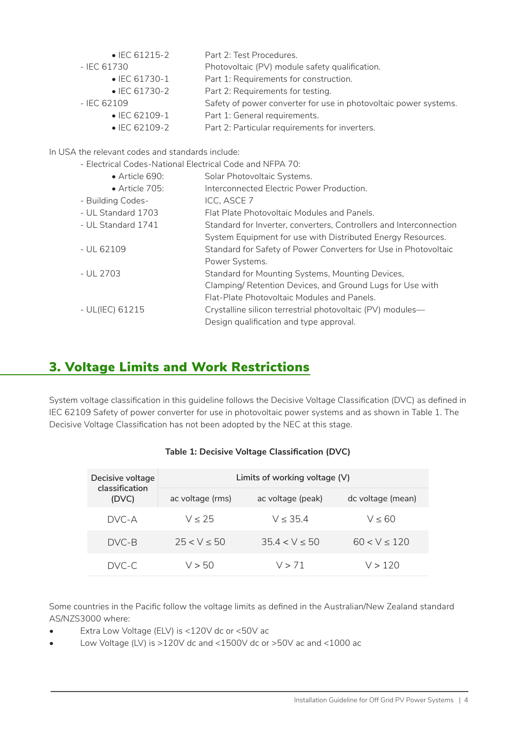| $\bullet$ IEC 61215-2                                    | Part 2: Test Procedures.                                         |
|----------------------------------------------------------|------------------------------------------------------------------|
| - IEC 61730                                              | Photovoltaic (PV) module safety qualification.                   |
| $\bullet$ IEC 61730-1                                    | Part 1: Requirements for construction.                           |
| $\bullet$ IEC 61730-2                                    | Part 2: Requirements for testing.                                |
| $-$ IEC 62109                                            | Safety of power converter for use in photovoltaic power systems. |
| $\bullet$ IEC 62109-1                                    | Part 1: General requirements.                                    |
| $\bullet$ IEC 62109-2                                    | Part 2: Particular requirements for inverters.                   |
| In USA the relevant codes and standards include:         |                                                                  |
| - Electrical Codes-National Electrical Code and NFPA 70: |                                                                  |
| $\bullet$ Article 690:                                   | Solar Photovoltaic Systems.                                      |
| $\bullet$ Article 705:                                   | Interconnected Electric Power Production.                        |
| - Building Codes-                                        | ICC, ASCE 7                                                      |

- UL Standard 1703 Flat Plate Photovoltaic Modules and Panels.
- UL Standard 1741 Standard for Inverter, converters, Controllers and Interconnection System Equipment for use with Distributed Energy Resources. - UL 62109 Standard for Safety of Power Converters for Use in Photovoltaic
- Power Systems. - UL 2703 Standard for Mounting Systems, Mounting Devices, Clamping/ Retention Devices, and Ground Lugs for Use with Flat-Plate Photovoltaic Modules and Panels. - UL(IEC) 61215 Crystalline silicon terrestrial photovoltaic (PV) modules— Design qualification and type approval.

### 3. Voltage Limits and Work Restrictions

System voltage classification in this guideline follows the Decisive Voltage Classification (DVC) as defined in IEC 62109 Safety of power converter for use in photovoltaic power systems and as shown in Table 1. The Decisive Voltage Classification has not been adopted by the NEC at this stage.

| Decisive voltage<br>classification<br>(DVC) | Limits of working voltage $(V)$ |                   |                   |
|---------------------------------------------|---------------------------------|-------------------|-------------------|
|                                             | ac voltage (rms)                | ac voltage (peak) | dc voltage (mean) |
| DVC-A                                       | V < 25                          | V < 35.4          | V < 60            |
| DVC-B                                       | 25 < V < 50                     | 354 < V < 50      | 60 < V < 120      |
| DVC-C.                                      | V > 50                          | V > 71            | V > 120           |

#### **Table 1: Decisive Voltage Classification (DVC)**

Some countries in the Pacific follow the voltage limits as defined in the Australian/New Zealand standard AS/NZS3000 where:

- Extra Low Voltage (ELV) is <120V dc or <50V ac
- Low Voltage (LV) is >120V dc and <1500V dc or >50V ac and <1000 ac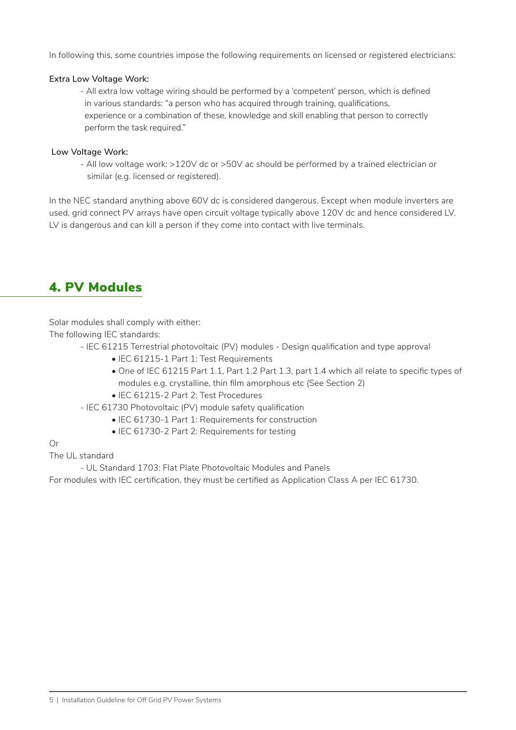In following this, some countries impose the following requirements on licensed or registered electricians:

#### **Extra Low Voltage Work:**

- All extra low voltage wiring should be performed by a 'competent' person, which is defined in various standards: "a person who has acquired through training, qualifications, experience or a combination of these, knowledge and skill enabling that person to correctly perform the task required."

#### **Low Voltage Work:**

- All low voltage work: >120V dc or >50V ac should be performed by a trained electrician or similar (e.g. licensed or registered).

In the NEC standard anything above 60V dc is considered dangerous. Except when module inverters are used, grid connect PV arrays have open circuit voltage typically above 120V dc and hence considered LV. LV is dangerous and can kill a person if they come into contact with live terminals.

### 4. PV Modules

Solar modules shall comply with either:

The following IEC standards:

- IEC 61215 Terrestrial photovoltaic (PV) modules Design qualification and type approval
	- IEC 61215-1 Part 1: Test Requirements
	- One of IEC 61215 Part 1.1, Part 1.2 Part 1.3, part 1.4 which all relate to specific types of modules e.g. crystalline, thin film amorphous etc (See Section 2)
	- IEC 61215-2 Part 2: Test Procedures

- IEC 61730 Photovoltaic (PV) module safety qualification

- IEC 61730-1 Part 1: Requirements for construction
- IEC 61730-2 Part 2: Requirements for testing

#### Or

The UL standard

- UL Standard 1703: Flat Plate Photovoltaic Modules and Panels

For modules with IEC certification, they must be certified as Application Class A per IEC 61730.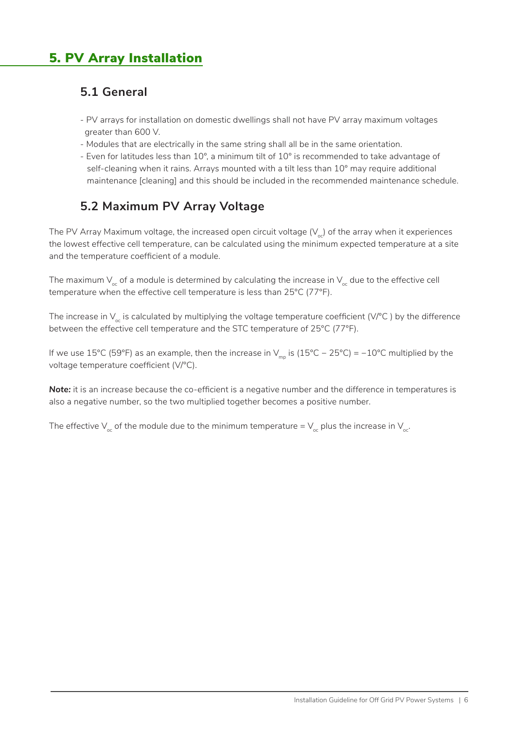#### **5.1 General**

- PV arrays for installation on domestic dwellings shall not have PV array maximum voltages greater than 600 V.
- Modules that are electrically in the same string shall all be in the same orientation.
- Even for latitudes less than 10°, a minimum tilt of 10° is recommended to take advantage of self-cleaning when it rains. Arrays mounted with a tilt less than 10° may require additional maintenance [cleaning] and this should be included in the recommended maintenance schedule.

### **5.2 Maximum PV Array Voltage**

The PV Array Maximum voltage, the increased open circuit voltage  $(V_{\alpha})$  of the array when it experiences the lowest effective cell temperature, can be calculated using the minimum expected temperature at a site and the temperature coefficient of a module.

The maximum  $V_{\alpha}$  of a module is determined by calculating the increase in  $V_{\alpha}$  due to the effective cell temperature when the effective cell temperature is less than 25°C (77°F).

The increase in  $V_{\infty}$  is calculated by multiplying the voltage temperature coefficient (V/°C) by the difference between the effective cell temperature and the STC temperature of 25°C (77°F).

If we use 15°C (59°F) as an example, then the increase in  $V_{\text{mo}}$  is (15°C − 25°C) = −10°C multiplied by the voltage temperature coefficient (V/°C).

**Note:** it is an increase because the co-efficient is a negative number and the difference in temperatures is also a negative number, so the two multiplied together becomes a positive number.

The effective  $V_{oc}$  of the module due to the minimum temperature =  $V_{oc}$  plus the increase in  $V_{oc}$ .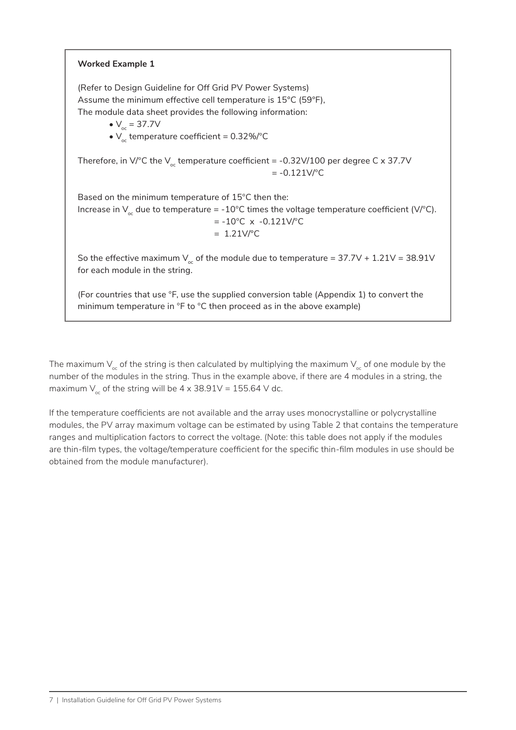### **Worked Example 1** (Refer to Design Guideline for Off Grid PV Power Systems) Assume the minimum effective cell temperature is 15°C (59°F), The module data sheet provides the following information: •  $V_{\infty}$  = 37.7V •  $V_{\text{oc}}$  temperature coefficient = 0.32%/°C Therefore, in V/°C the V<sub>oc</sub> temperature coefficient = -0.32V/100 per degree C x 37.7V  $= -0.121V$ <sup>o</sup>C Based on the minimum temperature of 15°C then the: Increase in  $V_{oc}$  due to temperature = -10°C times the voltage temperature coefficient (V/°C).  $= -10^{\circ}$ C x  $-0.121$ V/ $\circ$ C  $= 1.21V$ <sup>o</sup>C So the effective maximum  $V_{oc}$  of the module due to temperature = 37.7V + 1.21V = 38.91V for each module in the string. (For countries that use  ${}^{\circ}$ F, use the supplied conversion table (Appendix 1) to convert the

The maximum  $V_{\alpha}$  of the string is then calculated by multiplying the maximum  $V_{\alpha}$  of one module by the number of the modules in the string. Thus in the example above, if there are 4 modules in a string, the maximum  $V_c$  of the string will be  $4 \times 38.91$ V = 155.64 V dc.

minimum temperature in °F to °C then proceed as in the above example)

If the temperature coefficients are not available and the array uses monocrystalline or polycrystalline modules, the PV array maximum voltage can be estimated by using Table 2 that contains the temperature ranges and multiplication factors to correct the voltage. (Note: this table does not apply if the modules are thin-film types, the voltage/temperature coefficient for the specific thin-film modules in use should be obtained from the module manufacturer).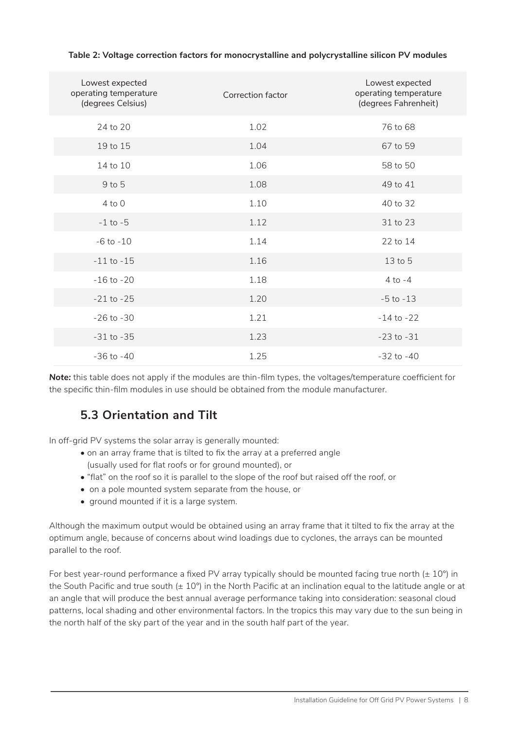| Lowest expected<br>operating temperature<br>(degrees Celsius) | Correction factor | Lowest expected<br>operating temperature<br>(degrees Fahrenheit) |
|---------------------------------------------------------------|-------------------|------------------------------------------------------------------|
| 24 to 20                                                      | 1.02              | 76 to 68                                                         |
| 19 to 15                                                      | 1.04              | 67 to 59                                                         |
| 14 to 10                                                      | 1.06              | 58 to 50                                                         |
| 9 to 5                                                        | 1.08              | 49 to 41                                                         |
| $4$ to $0$                                                    | 1.10              | 40 to 32                                                         |
| $-1$ to $-5$                                                  | 1.12              | 31 to 23                                                         |
| $-6$ to $-10$                                                 | 1.14              | 22 to 14                                                         |
| $-11$ to $-15$                                                | 1.16              | 13 to 5                                                          |
| $-16$ to $-20$                                                | 1.18              | $4$ to $-4$                                                      |
| $-21$ to $-25$                                                | 1.20              | $-5$ to $-13$                                                    |
| $-26$ to $-30$                                                | 1.21              | $-14$ to $-22$                                                   |
| $-31$ to $-35$                                                | 1.23              | $-23$ to $-31$                                                   |
| $-36$ to $-40$                                                | 1.25              | $-32$ to $-40$                                                   |

#### **Table 2: Voltage correction factors for monocrystalline and polycrystalline silicon PV modules**

*Note:* this table does not apply if the modules are thin-film types, the voltages/temperature coefficient for the specific thin-film modules in use should be obtained from the module manufacturer.

#### **5.3 Orientation and Tilt**

In off-grid PV systems the solar array is generally mounted:

- on an array frame that is tilted to fix the array at a preferred angle (usually used for flat roofs or for ground mounted), or
- "flat" on the roof so it is parallel to the slope of the roof but raised off the roof, or
- on a pole mounted system separate from the house, or
- ground mounted if it is a large system.

Although the maximum output would be obtained using an array frame that it tilted to fix the array at the optimum angle, because of concerns about wind loadings due to cyclones, the arrays can be mounted parallel to the roof.

For best year-round performance a fixed PV array typically should be mounted facing true north  $(\pm 10^{\circ})$  in the South Pacific and true south ( $\pm$  10°) in the North Pacific at an inclination equal to the latitude angle or at an angle that will produce the best annual average performance taking into consideration: seasonal cloud patterns, local shading and other environmental factors. In the tropics this may vary due to the sun being in the north half of the sky part of the year and in the south half part of the year.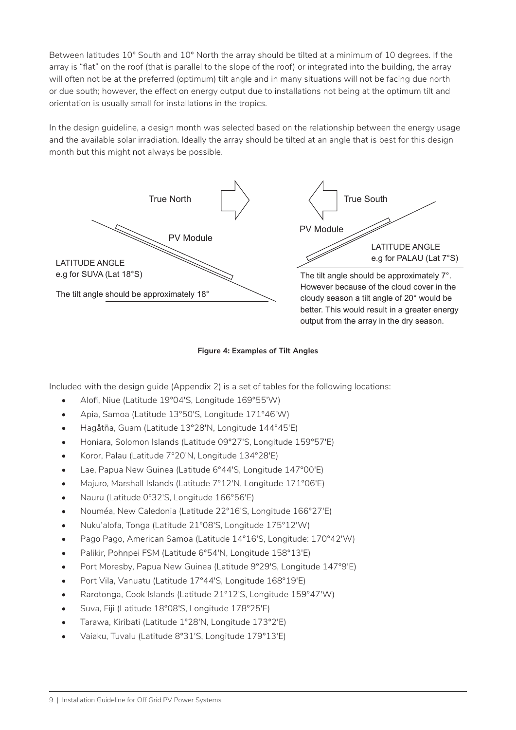Between latitudes 10° South and 10° North the array should be tilted at a minimum of 10 degrees. If the array is "flat" on the roof (that is parallel to the slope of the roof) or integrated into the building, the array will often not be at the preferred (optimum) tilt angle and in many situations will not be facing due north or due south; however, the effect on energy output due to installations not being at the optimum tilt and orientation is usually small for installations in the tropics.

In the design guideline, a design month was selected based on the relationship between the energy usage and the available solar irradiation. Ideally the array should be tilted at an angle that is best for this design month but this might not always be possible.



#### **Figure 4: Examples of Tilt Angles**

Included with the design guide (Appendix 2) is a set of tables for the following locations:

- Alofi, Niue (Latitude 19°04′S, Longitude 169°55′W)
- Apia, Samoa (Latitude 13°50′S, Longitude 171°46′W)
- Hagåtña, Guam (Latitude 13°28′N, Longitude 144°45′E)
- Honiara, Solomon Islands (Latitude 09°27′S, Longitude 159°57′E)
- Koror, Palau (Latitude 7°20′N, Longitude 134°28′E)
- Lae, Papua New Guinea (Latitude 6°44'S, Longitude 147°00'E)
- Majuro, Marshall Islands (Latitude 7°12′N, Longitude 171°06′E)
- Nauru (Latitude 0°32′S, Longitude 166°56′E)
- Nouméa, New Caledonia (Latitude 22°16′S, Longitude 166°27′E)
- Nuku'alofa, Tonga (Latitude 21°08′S, Longitude 175°12′W)
- Pago Pago, American Samoa (Latitude 14°16′S, Longitude: 170°42′W)
- Palikir, Pohnpei FSM (Latitude 6°54′N, Longitude 158°13′E)
- Port Moresby, Papua New Guinea (Latitude 9°29′S, Longitude 147°9′E)
- Port Vila, Vanuatu (Latitude 17°44′S, Longitude 168°19′E)
- Rarotonga, Cook Islands (Latitude 21°12′S, Longitude 159°47′W)
- Suva, Fiji (Latitude 18°08′S, Longitude 178°25′E)
- Tarawa, Kiribati (Latitude 1°28′N, Longitude 173°2′E)
- Vaiaku, Tuvalu (Latitude 8°31′S, Longitude 179°13′E)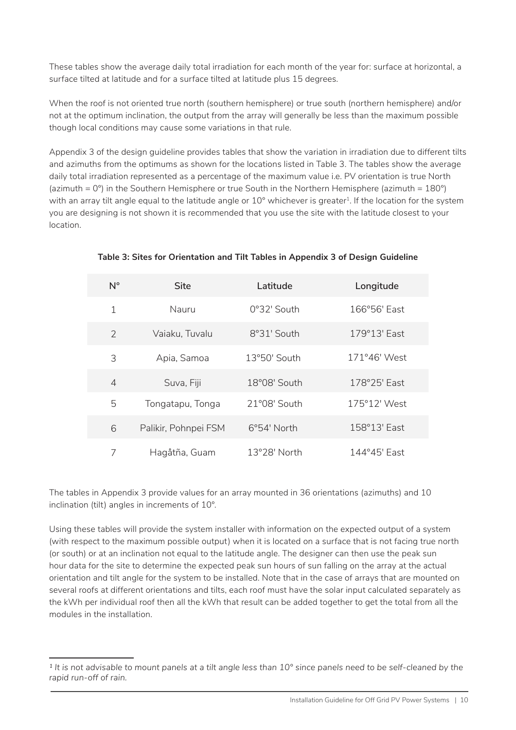These tables show the average daily total irradiation for each month of the year for: surface at horizontal, a surface tilted at latitude and for a surface tilted at latitude plus 15 degrees.

When the roof is not oriented true north (southern hemisphere) or true south (northern hemisphere) and/or not at the optimum inclination, the output from the array will generally be less than the maximum possible though local conditions may cause some variations in that rule.

Appendix 3 of the design guideline provides tables that show the variation in irradiation due to different tilts and azimuths from the optimums as shown for the locations listed in Table 3. The tables show the average daily total irradiation represented as a percentage of the maximum value i.e. PV orientation is true North (azimuth =  $0^{\circ}$ ) in the Southern Hemisphere or true South in the Northern Hemisphere (azimuth =  $180^{\circ}$ ) with an array tilt angle equal to the latitude angle or 10° whichever is greater<sup>1</sup>. If the location for the system you are designing is not shown it is recommended that you use the site with the latitude closest to your location.

| $N^{\circ}$    | <b>Site</b>          | Latitude             | Longitude      |
|----------------|----------------------|----------------------|----------------|
| 1              | Nauru                | 0°32' South          | 166°56' East   |
| $\overline{2}$ | Vaiaku, Tuvalu       | 8°31' South          | 179°13' East   |
| 3              | Apia, Samoa          | 13°50' South         | $171°46'$ West |
| $\overline{4}$ | Suva, Fiji           | 18°08' South         | 178°25' East   |
| 5              | Tongatapu, Tonga     | 21°08' South         | 175°12' West   |
| 6              | Palikir, Pohnpei FSM | $6^{\circ}54'$ North | 158°13' East   |
| 7              | Hagåtña, Guam        | $13°28'$ North       | 144°45' Fast   |

#### **Table 3: Sites for Orientation and Tilt Tables in Appendix 3 of Design Guideline**

The tables in Appendix 3 provide values for an array mounted in 36 orientations (azimuths) and 10 inclination (tilt) angles in increments of 10°.

Using these tables will provide the system installer with information on the expected output of a system (with respect to the maximum possible output) when it is located on a surface that is not facing true north (or south) or at an inclination not equal to the latitude angle. The designer can then use the peak sun hour data for the site to determine the expected peak sun hours of sun falling on the array at the actual orientation and tilt angle for the system to be installed. Note that in the case of arrays that are mounted on several roofs at different orientations and tilts, each roof must have the solar input calculated separately as the kWh per individual roof then all the kWh that result can be added together to get the total from all the modules in the installation.

*<sup>1</sup> It is not advisable to mount panels at a tilt angle less than 10° since panels need to be self-cleaned by the rapid run-off of rain.*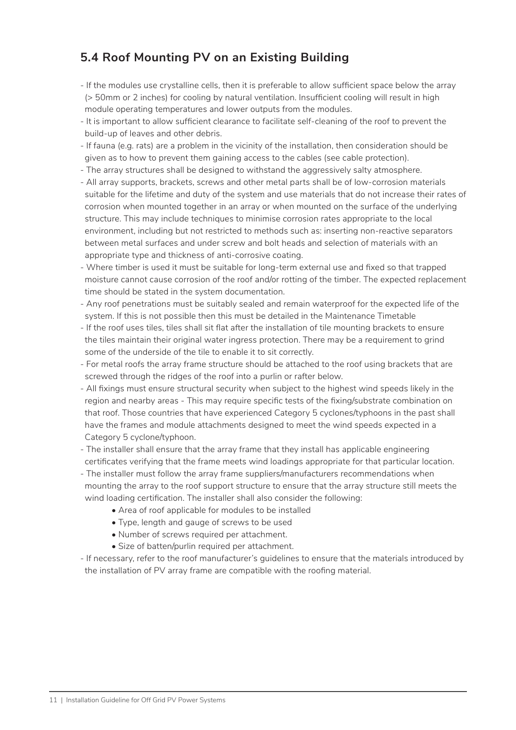### **5.4 Roof Mounting PV on an Existing Building**

- If the modules use crystalline cells, then it is preferable to allow sufficient space below the array (> 50mm or 2 inches) for cooling by natural ventilation. Insufficient cooling will result in high module operating temperatures and lower outputs from the modules.
- It is important to allow sufficient clearance to facilitate self-cleaning of the roof to prevent the build-up of leaves and other debris.
- If fauna (e.g. rats) are a problem in the vicinity of the installation, then consideration should be given as to how to prevent them gaining access to the cables (see cable protection).
- The array structures shall be designed to withstand the aggressively salty atmosphere.
- All array supports, brackets, screws and other metal parts shall be of low-corrosion materials suitable for the lifetime and duty of the system and use materials that do not increase their rates of corrosion when mounted together in an array or when mounted on the surface of the underlying structure. This may include techniques to minimise corrosion rates appropriate to the local environment, including but not restricted to methods such as: inserting non-reactive separators between metal surfaces and under screw and bolt heads and selection of materials with an appropriate type and thickness of anti-corrosive coating.
- Where timber is used it must be suitable for long-term external use and fixed so that trapped moisture cannot cause corrosion of the roof and/or rotting of the timber. The expected replacement time should be stated in the system documentation.
- Any roof penetrations must be suitably sealed and remain waterproof for the expected life of the system. If this is not possible then this must be detailed in the Maintenance Timetable
- If the roof uses tiles, tiles shall sit flat after the installation of tile mounting brackets to ensure the tiles maintain their original water ingress protection. There may be a requirement to grind some of the underside of the tile to enable it to sit correctly.
- For metal roofs the array frame structure should be attached to the roof using brackets that are screwed through the ridges of the roof into a purlin or rafter below.
- All fixings must ensure structural security when subject to the highest wind speeds likely in the region and nearby areas - This may require specific tests of the fixing/substrate combination on that roof. Those countries that have experienced Category 5 cyclones/typhoons in the past shall have the frames and module attachments designed to meet the wind speeds expected in a Category 5 cyclone/typhoon.
- The installer shall ensure that the array frame that they install has applicable engineering certificates verifying that the frame meets wind loadings appropriate for that particular location.
- The installer must follow the array frame suppliers/manufacturers recommendations when mounting the array to the roof support structure to ensure that the array structure still meets the wind loading certification. The installer shall also consider the following:
	- Area of roof applicable for modules to be installed
	- Type, length and gauge of screws to be used
	- Number of screws required per attachment.
	- Size of batten/purlin required per attachment.
- If necessary, refer to the roof manufacturer's guidelines to ensure that the materials introduced by the installation of PV array frame are compatible with the roofing material.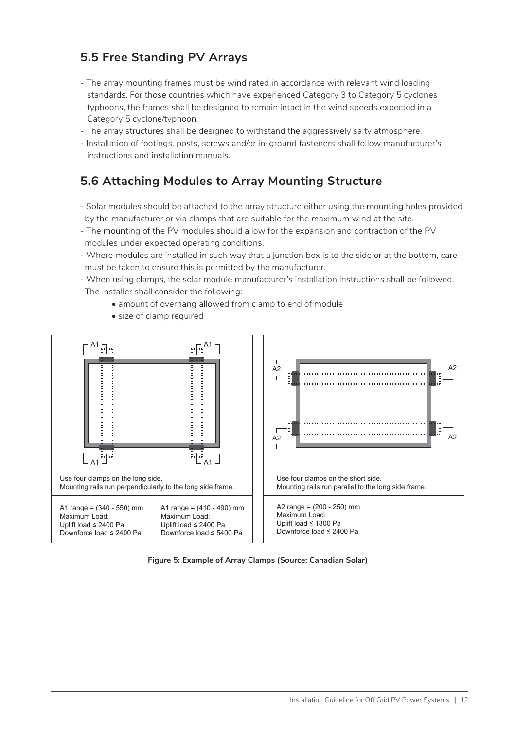#### **5.5 Free Standing PV Arrays**

- The array mounting frames must be wind rated in accordance with relevant wind loading standards. For those countries which have experienced Category 3 to Category 5 cyclones typhoons, the frames shall be designed to remain intact in the wind speeds expected in a Category 5 cyclone/typhoon.
- The array structures shall be designed to withstand the aggressively salty atmosphere.
- Installation of footings, posts, screws and/or in-ground fasteners shall follow manufacturer's instructions and installation manuals.

#### **5.6 Attaching Modules to Array Mounting Structure**

- Solar modules should be attached to the array structure either using the mounting holes provided by the manufacturer or via clamps that are suitable for the maximum wind at the site.
- The mounting of the PV modules should allow for the expansion and contraction of the PV modules under expected operating conditions.
- Where modules are installed in such way that a junction box is to the side or at the bottom, care must be taken to ensure this is permitted by the manufacturer.
- When using clamps, the solar module manufacturer's installation instructions shall be followed. The installer shall consider the following:
	- amount of overhang allowed from clamp to end of module
	- size of clamp required



**Figure 5: Example of Array Clamps (Source: Canadian Solar)**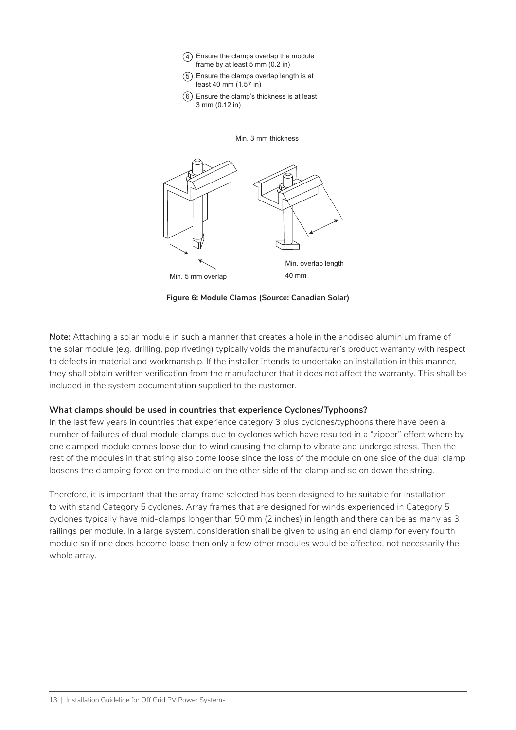- Ensure the clamps overlap the module 4 frame by at least 5 mm (0.2 in)
- Ensure the clamps overlap length is at 5 least 40 mm (1.57 in)
- $6)$  Ensure the clamp's thickness is at least 3 mm (0.12 in)



**Figure 6: Module Clamps (Source: Canadian Solar)**

*Note:* Attaching a solar module in such a manner that creates a hole in the anodised aluminium frame of the solar module (e.g. drilling, pop riveting) typically voids the manufacturer's product warranty with respect to defects in material and workmanship. If the installer intends to undertake an installation in this manner, they shall obtain written verification from the manufacturer that it does not affect the warranty. This shall be included in the system documentation supplied to the customer.

#### **What clamps should be used in countries that experience Cyclones/Typhoons?**

In the last few years in countries that experience category 3 plus cyclones/typhoons there have been a number of failures of dual module clamps due to cyclones which have resulted in a "zipper" effect where by one clamped module comes loose due to wind causing the clamp to vibrate and undergo stress. Then the rest of the modules in that string also come loose since the loss of the module on one side of the dual clamp loosens the clamping force on the module on the other side of the clamp and so on down the string.

Therefore, it is important that the array frame selected has been designed to be suitable for installation to with stand Category 5 cyclones. Array frames that are designed for winds experienced in Category 5 cyclones typically have mid-clamps longer than 50 mm (2 inches) in length and there can be as many as 3 railings per module. In a large system, consideration shall be given to using an end clamp for every fourth module so if one does become loose then only a few other modules would be affected, not necessarily the whole array.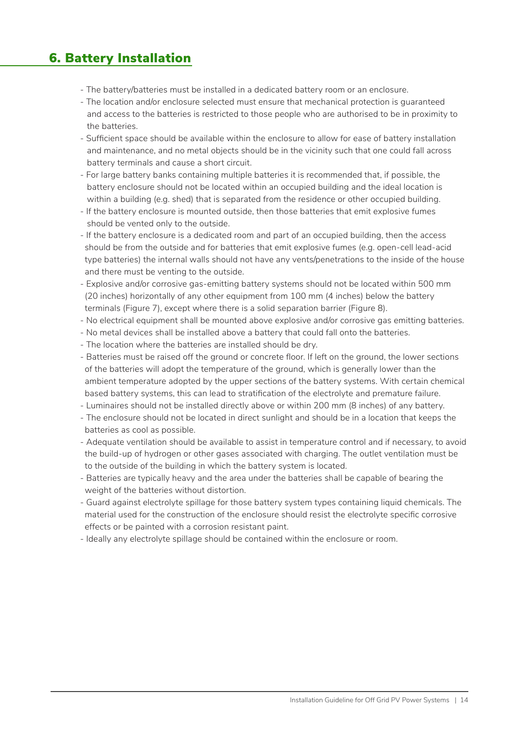### 6. Battery Installation

- The battery/batteries must be installed in a dedicated battery room or an enclosure.
- The location and/or enclosure selected must ensure that mechanical protection is guaranteed and access to the batteries is restricted to those people who are authorised to be in proximity to the batteries.
- Sufficient space should be available within the enclosure to allow for ease of battery installation and maintenance, and no metal objects should be in the vicinity such that one could fall across battery terminals and cause a short circuit.
- For large battery banks containing multiple batteries it is recommended that, if possible, the battery enclosure should not be located within an occupied building and the ideal location is within a building (e.g. shed) that is separated from the residence or other occupied building.
- If the battery enclosure is mounted outside, then those batteries that emit explosive fumes should be vented only to the outside.
- If the battery enclosure is a dedicated room and part of an occupied building, then the access should be from the outside and for batteries that emit explosive fumes (e.g. open-cell lead-acid type batteries) the internal walls should not have any vents/penetrations to the inside of the house and there must be venting to the outside.
- Explosive and/or corrosive gas-emitting battery systems should not be located within 500 mm (20 inches) horizontally of any other equipment from 100 mm (4 inches) below the battery terminals (Figure 7), except where there is a solid separation barrier (Figure 8).
- No electrical equipment shall be mounted above explosive and/or corrosive gas emitting batteries.
- No metal devices shall be installed above a battery that could fall onto the batteries.
- The location where the batteries are installed should be dry.
- Batteries must be raised off the ground or concrete floor. If left on the ground, the lower sections of the batteries will adopt the temperature of the ground, which is generally lower than the ambient temperature adopted by the upper sections of the battery systems. With certain chemical based battery systems, this can lead to stratification of the electrolyte and premature failure.
- Luminaires should not be installed directly above or within 200 mm (8 inches) of any battery.
- The enclosure should not be located in direct sunlight and should be in a location that keeps the batteries as cool as possible.
- Adequate ventilation should be available to assist in temperature control and if necessary, to avoid the build-up of hydrogen or other gases associated with charging. The outlet ventilation must be to the outside of the building in which the battery system is located.
- Batteries are typically heavy and the area under the batteries shall be capable of bearing the weight of the batteries without distortion.
- Guard against electrolyte spillage for those battery system types containing liquid chemicals. The material used for the construction of the enclosure should resist the electrolyte specific corrosive effects or be painted with a corrosion resistant paint.
- Ideally any electrolyte spillage should be contained within the enclosure or room.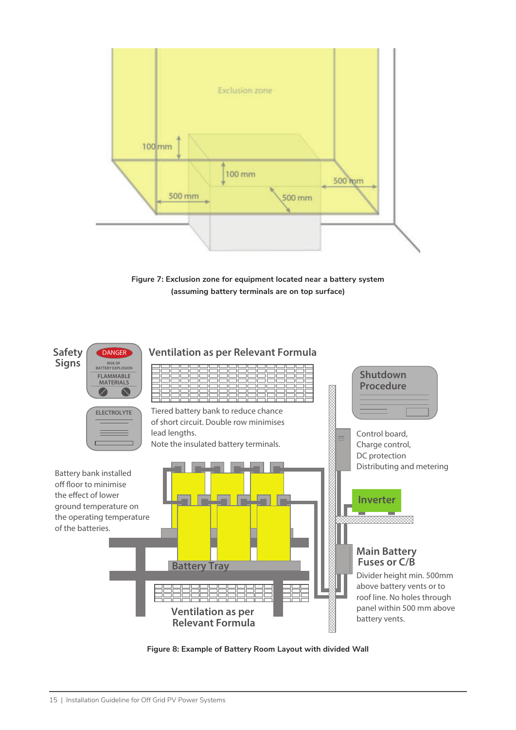

**Figure 7: Exclusion zone for equipment located near a battery system (assuming battery terminals are on top surface)**



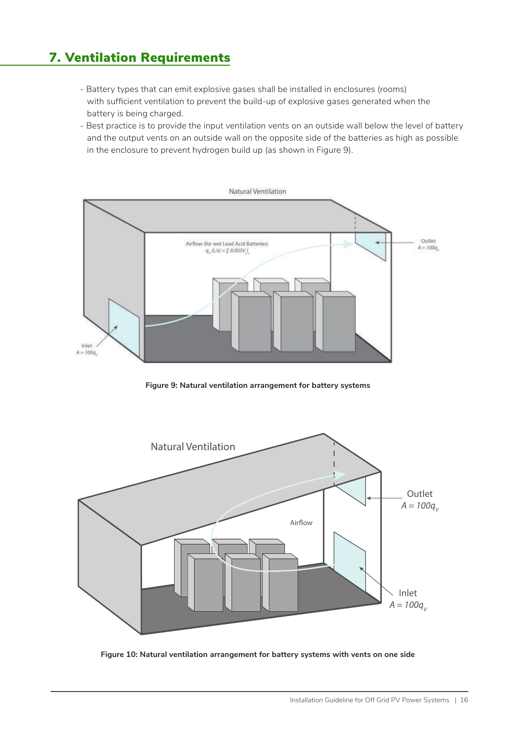# 7. Ventilation Requirements

- Battery types that can emit explosive gases shall be installed in enclosures (rooms) with sufficient ventilation to prevent the build-up of explosive gases generated when the battery is being charged.
- Best practice is to provide the input ventilation vents on an outside wall below the level of battery and the output vents on an outside wall on the opposite side of the batteries as high as possible in the enclosure to prevent hydrogen build up (as shown in Figure 9).



**Figure 9: Natural ventilation arrangement for battery systems**



**Figure 10: Natural ventilation arrangement for battery systems with vents on one side**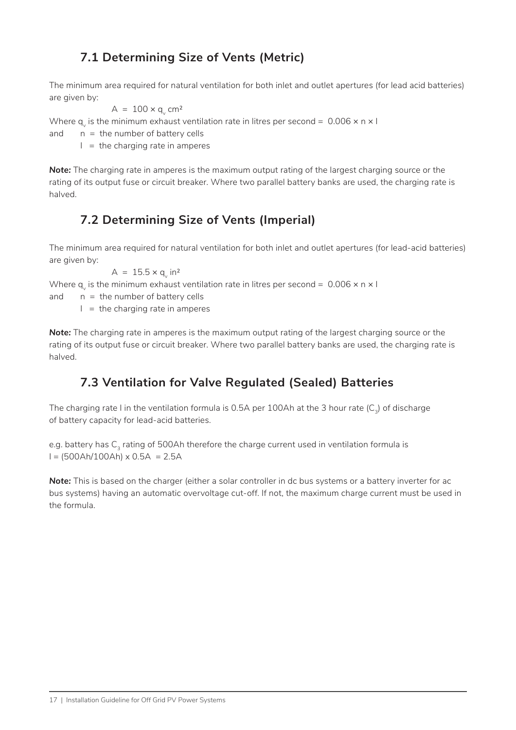### **7.1 Determining Size of Vents (Metric)**

The minimum area required for natural ventilation for both inlet and outlet apertures (for lead acid batteries) are given by:

$$
A = 100 \times q_v \text{ cm}^2
$$

Where q<sub>v</sub> is the minimum exhaust ventilation rate in litres per second =  $\,$  0.006  $\times$  n  $\times$  l

and  $n =$  the number of battery cells

 $I =$  the charging rate in amperes

*Note:* The charging rate in amperes is the maximum output rating of the largest charging source or the rating of its output fuse or circuit breaker. Where two parallel battery banks are used, the charging rate is halved.

#### **7.2 Determining Size of Vents (Imperial)**

The minimum area required for natural ventilation for both inlet and outlet apertures (for lead-acid batteries) are given by:

 $A = 15.5 \times q_v$  in<sup>2</sup>

Where q<sub>v</sub> is the minimum exhaust ventilation rate in litres per second =  $\,$  0.006  $\times$  n  $\times$  l

and  $n =$  the number of battery cells

 $I =$  the charging rate in amperes

*Note:* The charging rate in amperes is the maximum output rating of the largest charging source or the rating of its output fuse or circuit breaker. Where two parallel battery banks are used, the charging rate is halved.

### **7.3 Ventilation for Valve Regulated (Sealed) Batteries**

The charging rate I in the ventilation formula is 0.5A per 100Ah at the 3 hour rate  $(C<sub>3</sub>)$  of discharge of battery capacity for lead-acid batteries.

e.g. battery has C<sub>3</sub> rating of 500Ah therefore the charge current used in ventilation formula is  $I = (500A h/100Ah) \times 0.5A = 2.5A$ 

**Note:** This is based on the charger (either a solar controller in dc bus systems or a battery inverter for ac bus systems) having an automatic overvoltage cut-off. If not, the maximum charge current must be used in the formula.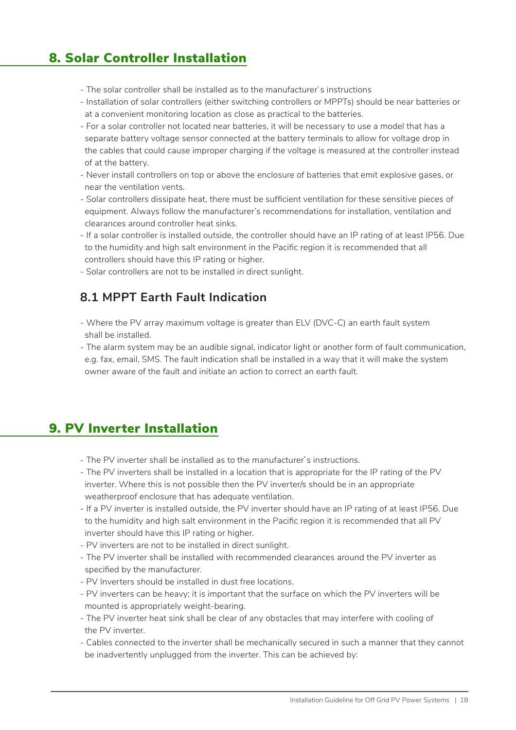### 8. Solar Controller Installation

- The solar controller shall be installed as to the manufacturer`s instructions
- Installation of solar controllers (either switching controllers or MPPTs) should be near batteries or at a convenient monitoring location as close as practical to the batteries.
- For a solar controller not located near batteries, it will be necessary to use a model that has a separate battery voltage sensor connected at the battery terminals to allow for voltage drop in the cables that could cause improper charging if the voltage is measured at the controller instead of at the battery.
- Never install controllers on top or above the enclosure of batteries that emit explosive gases, or near the ventilation vents.
- Solar controllers dissipate heat, there must be sufficient ventilation for these sensitive pieces of equipment. Always follow the manufacturer's recommendations for installation, ventilation and clearances around controller heat sinks.
- If a solar controller is installed outside, the controller should have an IP rating of at least IP56. Due to the humidity and high salt environment in the Pacific region it is recommended that all controllers should have this IP rating or higher.
- Solar controllers are not to be installed in direct sunlight.

#### **8.1 MPPT Earth Fault Indication**

- Where the PV array maximum voltage is greater than ELV (DVC-C) an earth fault system shall be installed.
- The alarm system may be an audible signal, indicator light or another form of fault communication, e.g. fax, email, SMS. The fault indication shall be installed in a way that it will make the system owner aware of the fault and initiate an action to correct an earth fault.

### 9. PV Inverter Installation

- The PV inverter shall be installed as to the manufacturer`s instructions.
- The PV inverters shall be installed in a location that is appropriate for the IP rating of the PV inverter. Where this is not possible then the PV inverter/s should be in an appropriate weatherproof enclosure that has adequate ventilation.
- If a PV inverter is installed outside, the PV inverter should have an IP rating of at least IP56. Due to the humidity and high salt environment in the Pacific region it is recommended that all PV inverter should have this IP rating or higher.
- PV inverters are not to be installed in direct sunlight.
- The PV inverter shall be installed with recommended clearances around the PV inverter as specified by the manufacturer.
- PV Inverters should be installed in dust free locations.
- PV inverters can be heavy; it is important that the surface on which the PV inverters will be mounted is appropriately weight-bearing.
- The PV inverter heat sink shall be clear of any obstacles that may interfere with cooling of the PV inverter.
- Cables connected to the inverter shall be mechanically secured in such a manner that they cannot be inadvertently unplugged from the inverter. This can be achieved by: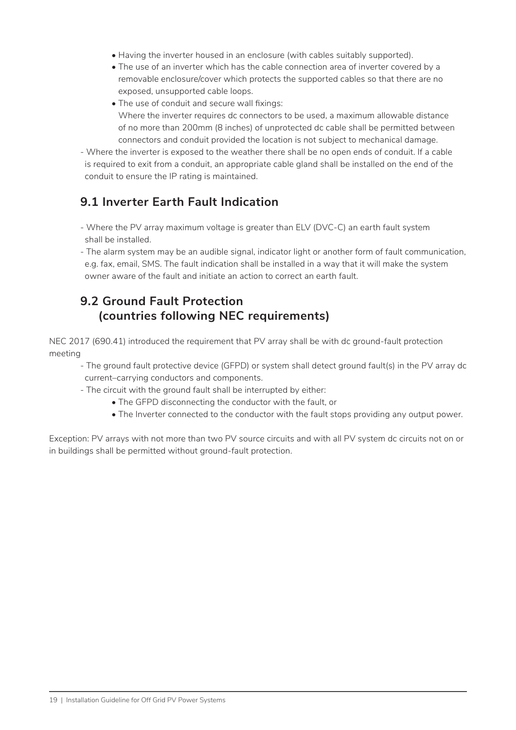- Having the inverter housed in an enclosure (with cables suitably supported).
- The use of an inverter which has the cable connection area of inverter covered by a removable enclosure/cover which protects the supported cables so that there are no exposed, unsupported cable loops.
- The use of conduit and secure wall fixings: Where the inverter requires dc connectors to be used, a maximum allowable distance of no more than 200mm (8 inches) of unprotected dc cable shall be permitted between connectors and conduit provided the location is not subject to mechanical damage.
- Where the inverter is exposed to the weather there shall be no open ends of conduit. If a cable is required to exit from a conduit, an appropriate cable gland shall be installed on the end of the conduit to ensure the IP rating is maintained.

#### **9.1 Inverter Earth Fault Indication**

- Where the PV array maximum voltage is greater than ELV (DVC-C) an earth fault system shall be installed.
- The alarm system may be an audible signal, indicator light or another form of fault communication, e.g. fax, email, SMS. The fault indication shall be installed in a way that it will make the system owner aware of the fault and initiate an action to correct an earth fault.

#### **9.2 Ground Fault Protection (countries following NEC requirements)**

NEC 2017 (690.41) introduced the requirement that PV array shall be with dc ground-fault protection meeting

- The ground fault protective device (GFPD) or system shall detect ground fault(s) in the PV array dc current–carrying conductors and components.
- The circuit with the ground fault shall be interrupted by either:
	- The GFPD disconnecting the conductor with the fault, or
	- The Inverter connected to the conductor with the fault stops providing any output power.

Exception: PV arrays with not more than two PV source circuits and with all PV system dc circuits not on or in buildings shall be permitted without ground-fault protection.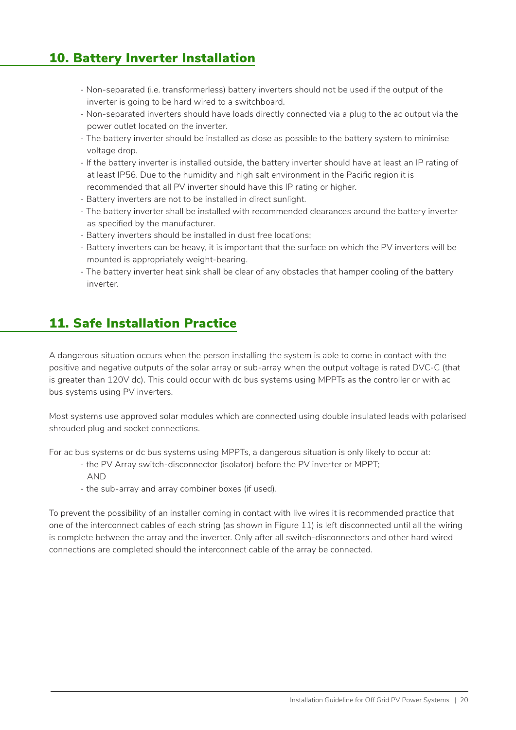### 10. Battery Inverter Installation

- Non-separated (i.e. transformerless) battery inverters should not be used if the output of the inverter is going to be hard wired to a switchboard.
- Non-separated inverters should have loads directly connected via a plug to the ac output via the power outlet located on the inverter.
- The battery inverter should be installed as close as possible to the battery system to minimise voltage drop.
- If the battery inverter is installed outside, the battery inverter should have at least an IP rating of at least IP56. Due to the humidity and high salt environment in the Pacific region it is recommended that all PV inverter should have this IP rating or higher.
- Battery inverters are not to be installed in direct sunlight.
- The battery inverter shall be installed with recommended clearances around the battery inverter as specified by the manufacturer.
- Battery inverters should be installed in dust free locations;
- Battery inverters can be heavy, it is important that the surface on which the PV inverters will be mounted is appropriately weight-bearing.
- The battery inverter heat sink shall be clear of any obstacles that hamper cooling of the battery inverter.

### 11. Safe Installation Practice

A dangerous situation occurs when the person installing the system is able to come in contact with the positive and negative outputs of the solar array or sub-array when the output voltage is rated DVC-C (that is greater than 120V dc). This could occur with dc bus systems using MPPTs as the controller or with ac bus systems using PV inverters.

Most systems use approved solar modules which are connected using double insulated leads with polarised shrouded plug and socket connections.

For ac bus systems or dc bus systems using MPPTs, a dangerous situation is only likely to occur at:

- the PV Array switch-disconnector (isolator) before the PV inverter or MPPT;
- AND
- the sub-array and array combiner boxes (if used).

To prevent the possibility of an installer coming in contact with live wires it is recommended practice that one of the interconnect cables of each string (as shown in Figure 11) is left disconnected until all the wiring is complete between the array and the inverter. Only after all switch-disconnectors and other hard wired connections are completed should the interconnect cable of the array be connected.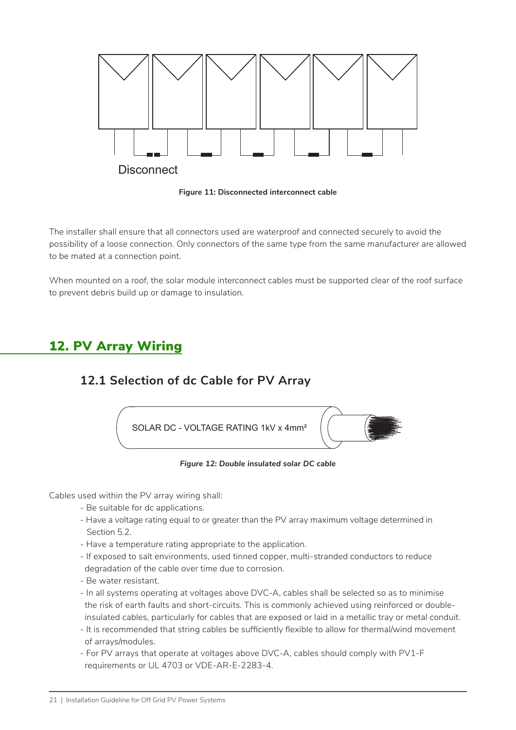

**Figure 11: Disconnected interconnect cable**

The installer shall ensure that all connectors used are waterproof and connected securely to avoid the possibility of a loose connection. Only connectors of the same type from the same manufacturer are allowed to be mated at a connection point.

When mounted on a roof, the solar module interconnect cables must be supported clear of the roof surface to prevent debris build up or damage to insulation.

### 12. PV Array Wiring

#### **12.1 Selection of dc Cable for PV Array**



*Figure 12: Double insulated solar DC cable*

Cables used within the PV array wiring shall:

- Be suitable for dc applications.
- Have a voltage rating equal to or greater than the PV array maximum voltage determined in Section 5.2.
- Have a temperature rating appropriate to the application.
- If exposed to salt environments, used tinned copper, multi-stranded conductors to reduce degradation of the cable over time due to corrosion.
- Be water resistant.
- In all systems operating at voltages above DVC-A, cables shall be selected so as to minimise the risk of earth faults and short-circuits. This is commonly achieved using reinforced or double insulated cables, particularly for cables that are exposed or laid in a metallic tray or metal conduit.
- It is recommended that string cables be sufficiently flexible to allow for thermal/wind movement of arrays/modules.
- For PV arrays that operate at voltages above DVC-A, cables should comply with PV1-F requirements or UL 4703 or VDE-AR-E-2283-4.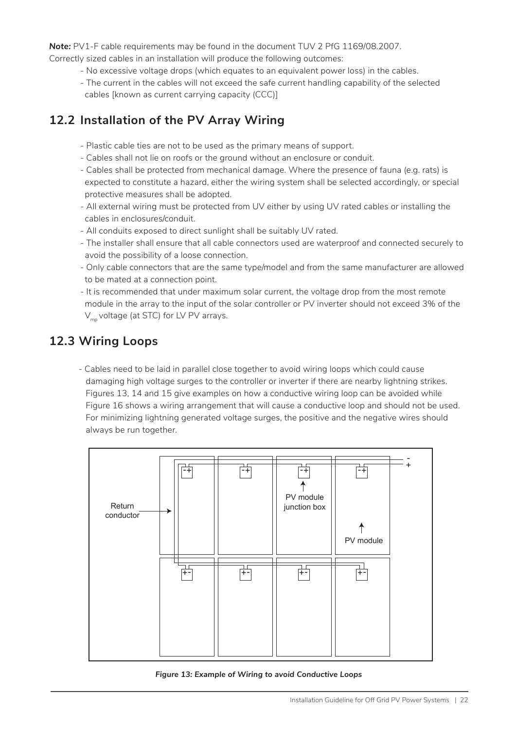*Note:* PV1-F cable requirements may be found in the document TUV 2 PfG 1169/08.2007.

- Correctly sized cables in an installation will produce the following outcomes:
	- No excessive voltage drops (which equates to an equivalent power loss) in the cables.
	- The current in the cables will not exceed the safe current handling capability of the selected cables [known as current carrying capacity (CCC)]

#### **12.2 Installation of the PV Array Wiring**

- Plastic cable ties are not to be used as the primary means of support.
- Cables shall not lie on roofs or the ground without an enclosure or conduit.
- Cables shall be protected from mechanical damage. Where the presence of fauna (e.g. rats) is expected to constitute a hazard, either the wiring system shall be selected accordingly, or special protective measures shall be adopted.
- All external wiring must be protected from UV either by using UV rated cables or installing the cables in enclosures/conduit.
- All conduits exposed to direct sunlight shall be suitably UV rated.
- The installer shall ensure that all cable connectors used are waterproof and connected securely to avoid the possibility of a loose connection.
- Only cable connectors that are the same type/model and from the same manufacturer are allowed to be mated at a connection point.
- It is recommended that under maximum solar current, the voltage drop from the most remote module in the array to the input of the solar controller or PV inverter should not exceed 3% of the  $V_{\text{mn}}$  voltage (at STC) for LV PV arrays.

#### **12.3 Wiring Loops**

- Cables need to be laid in parallel close together to avoid wiring loops which could cause damaging high voltage surges to the controller or inverter if there are nearby lightning strikes. Figures 13, 14 and 15 give examples on how a conductive wiring loop can be avoided while Figure 16 shows a wiring arrangement that will cause a conductive loop and should not be used. For minimizing lightning generated voltage surges, the positive and the negative wires should always be run together.



*Figure 13: Example of Wiring to avoid Conductive Loops*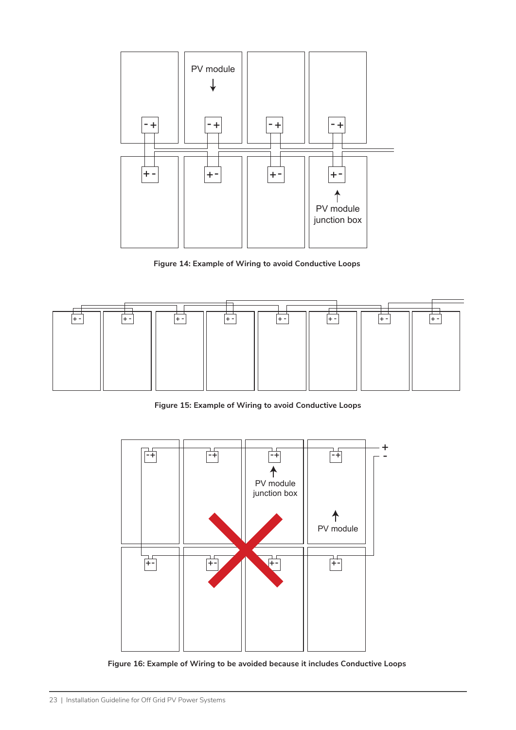

**Figure 14: Example of Wiring to avoid Conductive Loops**



**Figure 15: Example of Wiring to avoid Conductive Loops**



**Figure 16: Example of Wiring to be avoided because it includes Conductive Loops**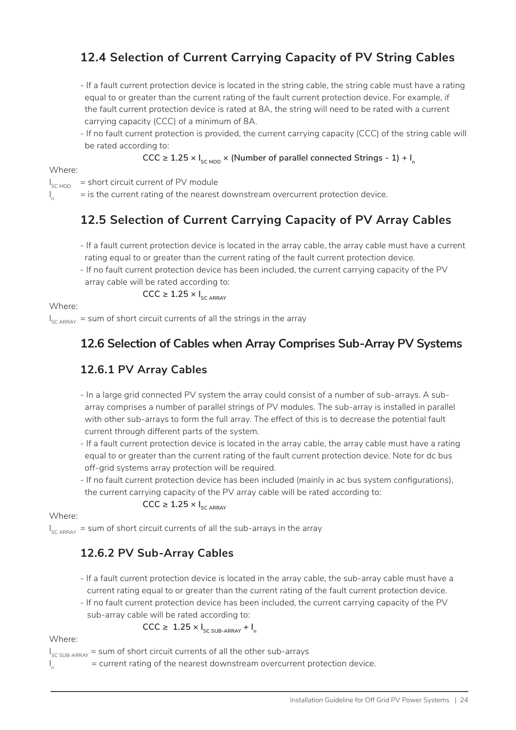### **12.4 Selection of Current Carrying Capacity of PV String Cables**

- If a fault current protection device is located in the string cable, the string cable must have a rating equal to or greater than the current rating of the fault current protection device. For example, if the fault current protection device is rated at 8A, the string will need to be rated with a current carrying capacity (CCC) of a minimum of 8A.
- If no fault current protection is provided, the current carrying capacity (CCC) of the string cable will be rated according to:

 $CCC ≥ 1.25 × I<sub>SCMOD</sub> × (Number of parallel connected Strings - 1) + I<sub>n</sub>$ 

Where:

 $\mathbf{I}_{\mathbf{a}}$ 

 $I_{\rm SC\,MOD}$  = short circuit current of PV module

= is the current rating of the nearest downstream overcurrent protection device.

#### **12.5 Selection of Current Carrying Capacity of PV Array Cables**

- If a fault current protection device is located in the array cable, the array cable must have a current rating equal to or greater than the current rating of the fault current protection device.
- If no fault current protection device has been included, the current carrying capacity of the PV array cable will be rated according to:

$$
\text{CCC} \geq 1.25 \times I_{\text{SC ARRAY}}
$$

Where:

 $I_{\rm SC\, ARRAY}$  = sum of short circuit currents of all the strings in the array

#### **12.6 Selection of Cables when Array Comprises Sub-Array PV Systems**

#### **12.6.1 PV Array Cables**

- In a large grid connected PV system the array could consist of a number of sub-arrays. A sub array comprises a number of parallel strings of PV modules. The sub-array is installed in parallel with other sub-arrays to form the full array. The effect of this is to decrease the potential fault current through different parts of the system.
- If a fault current protection device is located in the array cable, the array cable must have a rating equal to or greater than the current rating of the fault current protection device. Note for dc bus off-grid systems array protection will be required.
- If no fault current protection device has been included (mainly in ac bus system configurations), the current carrying capacity of the PV array cable will be rated according to:

#### $CCC \geq 1.25 \times I_{SC AR RAY}$

Where:

 $I_{\rm SC\, ARRAY}$  = sum of short circuit currents of all the sub-arrays in the array

#### **12.6.2 PV Sub-Array Cables**

- If a fault current protection device is located in the array cable, the sub-array cable must have a current rating equal to or greater than the current rating of the fault current protection device.
- If no fault current protection device has been included, the current carrying capacity of the PV sub-array cable will be rated according to:

 $CCC \geq 1.25 \times I_{SC SUB-ARRAY} + I_n$ 

#### Where:

I<sub>sc SUB-ARRAY</sub> = sum of short circuit currents of all the other sub-arrays

I n = current rating of the nearest downstream overcurrent protection device.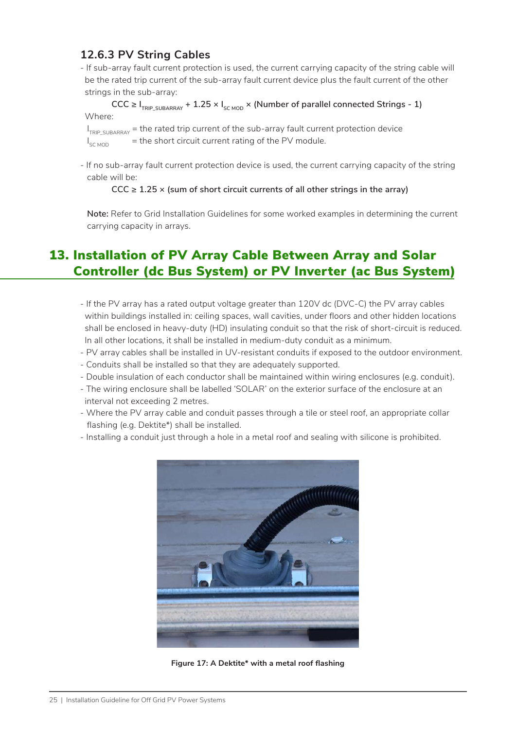#### **12.6.3 PV String Cables**

- If sub-array fault current protection is used, the current carrying capacity of the string cable will be the rated trip current of the sub-array fault current device plus the fault current of the other strings in the sub-array:

#### $CCC ≥ I$ <sub>TRIP SUBARRAY</sub> + 1.25 ×  $I<sub>SC MOD</sub>$  × (Number of parallel connected Strings - 1) Where:

 $I<sub>TRP-SUBARRAY</sub>$  = the rated trip current of the sub-array fault current protection device  $I_{SCMOD}$  = the short circuit current rating of the PV module.

- If no sub-array fault current protection device is used, the current carrying capacity of the string cable will be:

#### **CCC ≥ 1.25 × (sum of short circuit currents of all other strings in the array)**

 **Note:** Refer to Grid Installation Guidelines for some worked examples in determining the current carrying capacity in arrays.

# 13. Installation of PV Array Cable Between Array and Solar Controller (dc Bus System) or PV Inverter (ac Bus System)

- If the PV array has a rated output voltage greater than 120V dc (DVC-C) the PV array cables within buildings installed in: ceiling spaces, wall cavities, under floors and other hidden locations shall be enclosed in heavy-duty (HD) insulating conduit so that the risk of short-circuit is reduced. In all other locations, it shall be installed in medium-duty conduit as a minimum.
- PV array cables shall be installed in UV-resistant conduits if exposed to the outdoor environment.
- Conduits shall be installed so that they are adequately supported.
- Double insulation of each conductor shall be maintained within wiring enclosures (e.g. conduit).
- The wiring enclosure shall be labelled 'SOLAR' on the exterior surface of the enclosure at an interval not exceeding 2 metres.
- Where the PV array cable and conduit passes through a tile or steel roof, an appropriate collar flashing (e.g. Dektite\*) shall be installed.
- Installing a conduit just through a hole in a metal roof and sealing with silicone is prohibited.



**Figure 17: A Dektite\* with a metal roof flashing**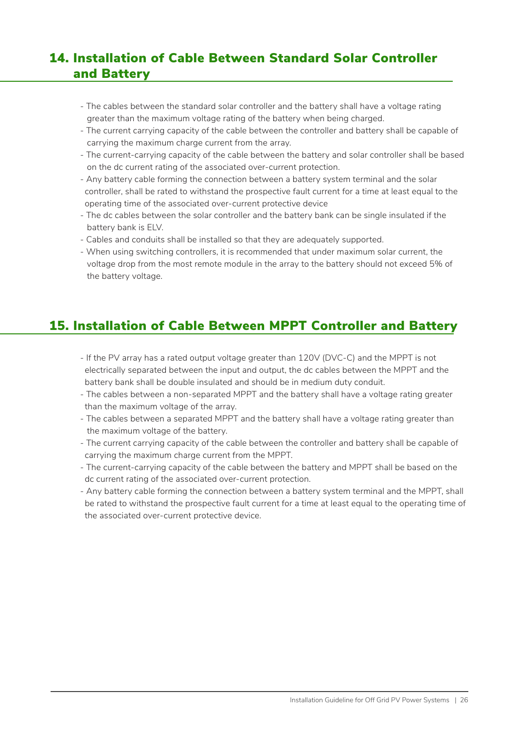### 14. Installation of Cable Between Standard Solar Controller and Battery

- The cables between the standard solar controller and the battery shall have a voltage rating greater than the maximum voltage rating of the battery when being charged.
- The current carrying capacity of the cable between the controller and battery shall be capable of carrying the maximum charge current from the array.
- The current-carrying capacity of the cable between the battery and solar controller shall be based on the dc current rating of the associated over-current protection.
- Any battery cable forming the connection between a battery system terminal and the solar controller, shall be rated to withstand the prospective fault current for a time at least equal to the operating time of the associated over-current protective device
- The dc cables between the solar controller and the battery bank can be single insulated if the battery bank is ELV.
- Cables and conduits shall be installed so that they are adequately supported.
- When using switching controllers, it is recommended that under maximum solar current, the voltage drop from the most remote module in the array to the battery should not exceed 5% of the battery voltage.

#### 15. Installation of Cable Between MPPT Controller and Battery

- If the PV array has a rated output voltage greater than 120V (DVC-C) and the MPPT is not electrically separated between the input and output, the dc cables between the MPPT and the battery bank shall be double insulated and should be in medium duty conduit.
- The cables between a non-separated MPPT and the battery shall have a voltage rating greater than the maximum voltage of the array.
- The cables between a separated MPPT and the battery shall have a voltage rating greater than the maximum voltage of the battery.
- The current carrying capacity of the cable between the controller and battery shall be capable of carrying the maximum charge current from the MPPT.
- The current-carrying capacity of the cable between the battery and MPPT shall be based on the dc current rating of the associated over-current protection.
- Any battery cable forming the connection between a battery system terminal and the MPPT, shall be rated to withstand the prospective fault current for a time at least equal to the operating time of the associated over-current protective device.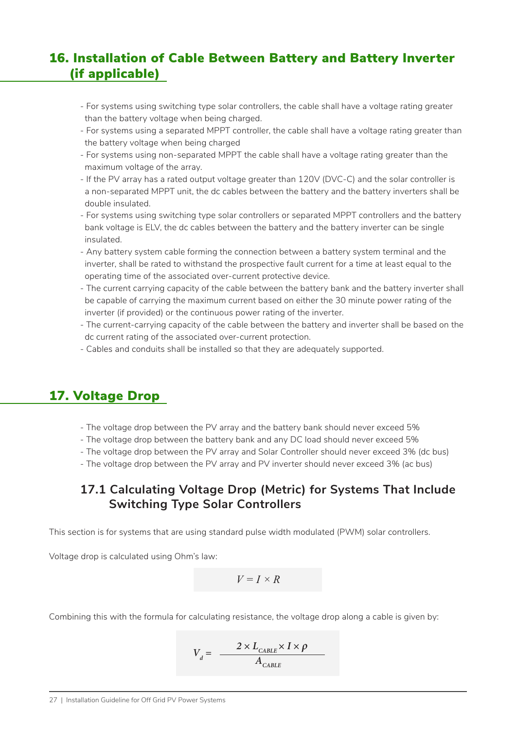### 16. Installation of Cable Between Battery and Battery Inverter (if applicable)

- For systems using switching type solar controllers, the cable shall have a voltage rating greater than the battery voltage when being charged.
- For systems using a separated MPPT controller, the cable shall have a voltage rating greater than the battery voltage when being charged
- For systems using non-separated MPPT the cable shall have a voltage rating greater than the maximum voltage of the array.
- If the PV array has a rated output voltage greater than 120V (DVC-C) and the solar controller is a non-separated MPPT unit, the dc cables between the battery and the battery inverters shall be double insulated.
- For systems using switching type solar controllers or separated MPPT controllers and the battery bank voltage is ELV, the dc cables between the battery and the battery inverter can be single insulated.
- Any battery system cable forming the connection between a battery system terminal and the inverter, shall be rated to withstand the prospective fault current for a time at least equal to the operating time of the associated over-current protective device.
- The current carrying capacity of the cable between the battery bank and the battery inverter shall be capable of carrying the maximum current based on either the 30 minute power rating of the inverter (if provided) or the continuous power rating of the inverter.
- The current-carrying capacity of the cable between the battery and inverter shall be based on the dc current rating of the associated over-current protection.
- Cables and conduits shall be installed so that they are adequately supported.

### 17. Voltage Drop

- The voltage drop between the PV array and the battery bank should never exceed 5%
- The voltage drop between the battery bank and any DC load should never exceed 5%
- The voltage drop between the PV array and Solar Controller should never exceed 3% (dc bus)
- The voltage drop between the PV array and PV inverter should never exceed 3% (ac bus)

#### **17.1 Calculating Voltage Drop (Metric) for Systems That Include Switching Type Solar Controllers**

This section is for systems that are using standard pulse width modulated (PWM) solar controllers.

Voltage drop is calculated using Ohm's law:

$$
V = I \times R
$$

Combining this with the formula for calculating resistance, the voltage drop along a cable is given by:

$$
V_d = \frac{2 \times L_{\text{CABLE}} \times I \times \rho}{A_{\text{CABLE}}}
$$

27 | Installation Guideline for Off Grid PV Power Systems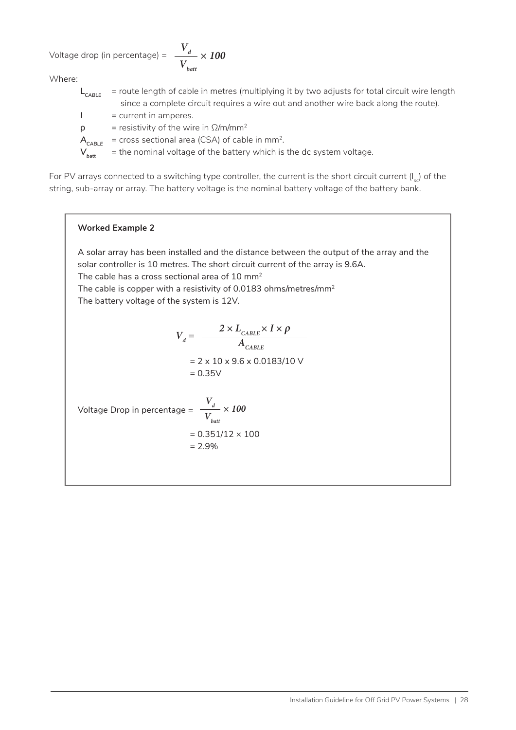Voltage drop (in percentage) = *Vd Vbatt*

Where:

- *L<sub>CABLE</sub>* = route length of cable in metres (multiplying it by two adjusts for total circuit wire length since a complete circuit requires a wire out and another wire back along the route).
- *I* = current in amperes.
- $\rho$  = resistivity of the wire in  $\Omega/m/mm^2$
- $A_{CABIE}$  = cross sectional area (CSA) of cable in mm<sup>2</sup>.

 $V_{\text{hatt}}$  = the nominal voltage of the battery which is the dc system voltage.

*× 100*

For PV arrays connected to a switching type controller, the current is the short circuit current  $(I_{s})$  of the string, sub-array or array. The battery voltage is the nominal battery voltage of the battery bank.

#### **Worked Example 2**

A solar array has been installed and the distance between the output of the array and the solar controller is 10 metres. The short circuit current of the array is 9.6A. The cable has a cross sectional area of  $10 \text{ mm}^2$ The cable is copper with a resistivity of 0.0183 ohms/metres/mm2 The battery voltage of the system is 12V.

$$
V_d = \frac{2 \times L_{CABLE} \times I \times \rho}{A_{CABLE}}
$$
  
= 2 x 10 x 9.6 x 0.0183/10 V  
= 0.35 V  
  
Voltage Drop in percentage =  $\frac{V_d}{V_{batt}}$  x 100  
= 0.351/12 x 100  
= 2.9%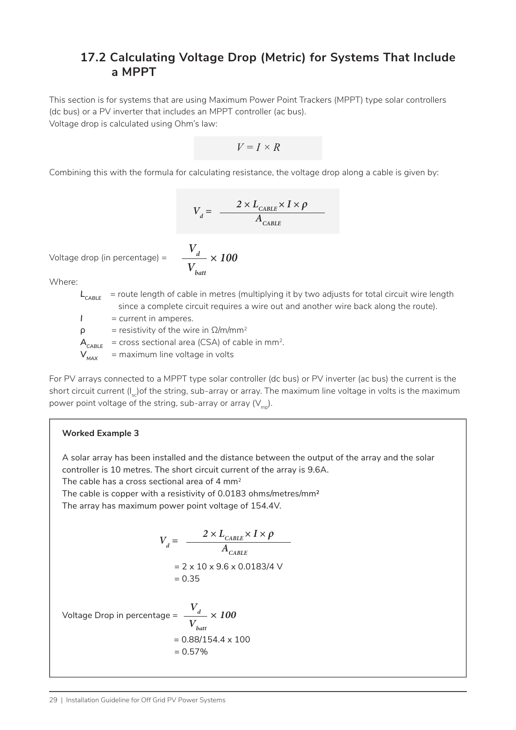#### **17.2 Calculating Voltage Drop (Metric) for Systems That Include a MPPT**

This section is for systems that are using Maximum Power Point Trackers (MPPT) type solar controllers (dc bus) or a PV inverter that includes an MPPT controller (ac bus). Voltage drop is calculated using Ohm's law:

$$
V = I \times R
$$

Combining this with the formula for calculating resistance, the voltage drop along a cable is given by:

$$
V_{d} = \frac{2 \times L_{\text{CABLE}} \times I \times \rho}{A_{\text{CABLE}}}
$$

Voltage drop (in percentage) =

$$
\frac{V_d}{V_{bat}} \times 100
$$

Where:

*L<sub>CABLE</sub>* = route length of cable in metres (multiplying it by two adjusts for total circuit wire length since a complete circuit requires a wire out and another wire back along the route).

*I* = current in amperes.

 $\rho$  = resistivity of the wire in  $\Omega/m/mm^2$ 

 $A_{\text{c}}$  = cross sectional area (CSA) of cable in mm<sup>2</sup>.

 $V_{\text{max}}$  = maximum line voltage in volts

For PV arrays connected to a MPPT type solar controller (dc bus) or PV inverter (ac bus) the current is the short circuit current  $(I_{s})$  of the string, sub-array or array. The maximum line voltage in volts is the maximum power point voltage of the string, sub-array or array  $(V_m)$ .

#### **Worked Example 3**

A solar array has been installed and the distance between the output of the array and the solar controller is 10 metres. The short circuit current of the array is 9.6A.

The cable has a cross sectional area of 4  $mm<sup>2</sup>$ 

The cable is copper with a resistivity of 0.0183 ohms/metres/mm2

The array has maximum power point voltage of 154.4V.

$$
V_d = \frac{2 \times L_{CABLE} \times I \times \rho}{A_{CABLE}}
$$
  
= 2 x 10 x 9.6 x 0.0183/4 V  
= 0.35

Voltage Drop in percentage =  $= 0.88/154.4 \times 100$  $= 0.57\%$  $V_d$ *Vbatt × 100*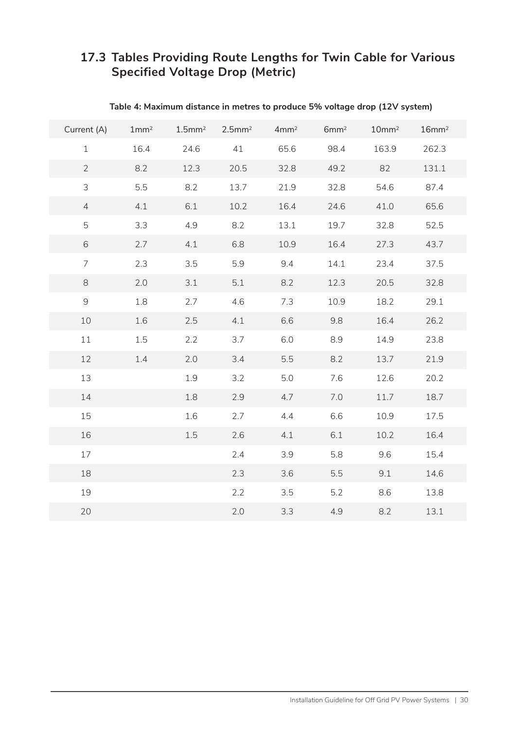#### **17.3 Tables Providing Route Lengths for Twin Cable for Various Specified Voltage Drop (Metric)**

| Current (A)                                               | 1mm <sup>2</sup> | $1.5$ mm <sup>2</sup> | $2.5$ mm <sup>2</sup> | 4mm <sup>2</sup> | 6mm <sup>2</sup> | 10mm <sup>2</sup> | 16mm <sup>2</sup> |
|-----------------------------------------------------------|------------------|-----------------------|-----------------------|------------------|------------------|-------------------|-------------------|
| $\mathbf{1}$                                              | 16.4             | 24.6                  | 41                    | 65.6             | 98.4             | 163.9             | 262.3             |
| $\overline{2}$                                            | 8.2              | 12.3                  | 20.5                  | 32.8             | 49.2             | 82                | 131.1             |
| 3                                                         | 5.5              | 8.2                   | 13.7                  | 21.9             | 32.8             | 54.6              | 87.4              |
| $\overline{4}$                                            | 4.1              | 6.1                   | 10.2                  | 16.4             | 24.6             | 41.0              | 65.6              |
| 5                                                         | 3.3              | 4.9                   | 8.2                   | 13.1             | 19.7             | 32.8              | 52.5              |
| 6                                                         | 2.7              | 4.1                   | 6.8                   | 10.9             | 16.4             | 27.3              | 43.7              |
| $\overline{7}$                                            | 2.3              | 3.5                   | 5.9                   | 9.4              | 14.1             | 23.4              | 37.5              |
| $\,8\,$                                                   | 2.0              | 3.1                   | 5.1                   | 8.2              | 12.3             | 20.5              | 32.8              |
| $\mathcal{G}% _{M_{1},M_{2}}^{\alpha,\beta}(\varepsilon)$ | 1.8              | 2.7                   | 4.6                   | 7.3              | 10.9             | 18.2              | 29.1              |
| 10                                                        | 1.6              | 2.5                   | 4.1                   | 6.6              | 9.8              | 16.4              | 26.2              |
| 11                                                        | 1.5              | 2.2                   | 3.7                   | 6.0              | 8.9              | 14.9              | 23.8              |
| 12                                                        | 1.4              | 2.0                   | 3.4                   | 5.5              | 8.2              | 13.7              | 21.9              |
| 13                                                        |                  | 1.9                   | 3.2                   | 5.0              | 7.6              | 12.6              | 20.2              |
| 14                                                        |                  | 1.8                   | 2.9                   | 4.7              | 7.0              | 11.7              | 18.7              |
| 15                                                        |                  | 1.6                   | 2.7                   | 4.4              | 6.6              | 10.9              | 17.5              |
| 16                                                        |                  | 1.5                   | 2.6                   | 4.1              | 6.1              | 10.2              | 16.4              |
| 17                                                        |                  |                       | 2.4                   | 3.9              | 5.8              | 9.6               | 15.4              |
| 18                                                        |                  |                       | 2.3                   | 3.6              | 5.5              | 9.1               | 14.6              |
| 19                                                        |                  |                       | 2.2                   | 3.5              | 5.2              | 8.6               | 13.8              |
| 20                                                        |                  |                       | 2.0                   | 3.3              | 4.9              | 8.2               | 13.1              |

#### **Table 4: Maximum distance in metres to produce 5% voltage drop (12V system)**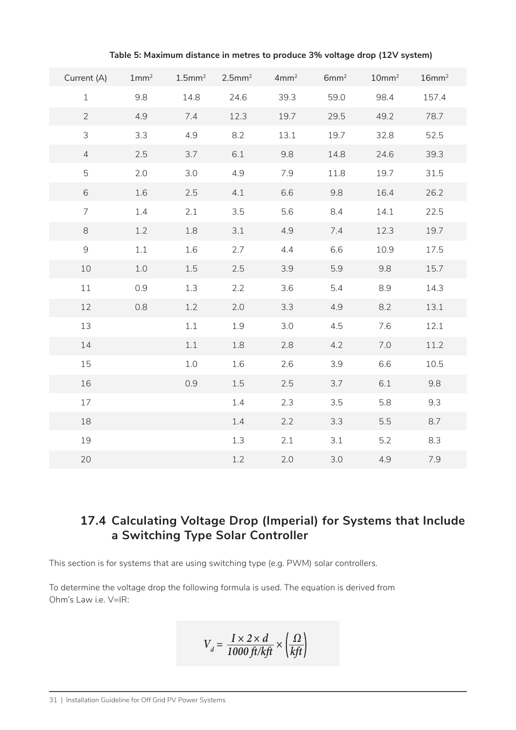| Current (A)    | 1mm <sup>2</sup> |      | $1.5$ mm <sup>2</sup> 2.5mm <sup>2</sup> | 4mm <sup>2</sup> | 6mm <sup>2</sup> | 10mm <sup>2</sup> | 16mm <sup>2</sup> |
|----------------|------------------|------|------------------------------------------|------------------|------------------|-------------------|-------------------|
|                |                  |      |                                          |                  |                  |                   |                   |
| $\mathbf{1}$   | 9.8              | 14.8 | 24.6                                     | 39.3             | 59.0             | 98.4              | 157.4             |
| $\overline{2}$ | 4.9              | 7.4  | 12.3                                     | 19.7             | 29.5             | 49.2              | 78.7              |
| 3              | 3.3              | 4.9  | 8.2                                      | 13.1             | 19.7             | 32.8              | 52.5              |
| $\overline{4}$ | 2.5              | 3.7  | 6.1                                      | 9.8              | 14.8             | 24.6              | 39.3              |
| 5              | 2.0              | 3.0  | 4.9                                      | 7.9              | 11.8             | 19.7              | 31.5              |
| 6              | 1.6              | 2.5  | 4.1                                      | 6.6              | 9.8              | 16.4              | 26.2              |
| $\overline{7}$ | 1.4              | 2.1  | 3.5                                      | 5.6              | 8.4              | 14.1              | 22.5              |
| 8              | 1.2              | 1.8  | 3.1                                      | 4.9              | 7.4              | 12.3              | 19.7              |
| $\mathsf 9$    | 1.1              | 1.6  | 2.7                                      | 4.4              | 6.6              | 10.9              | 17.5              |
| $10\,$         | 1.0              | 1.5  | 2.5                                      | 3.9              | 5.9              | 9.8               | 15.7              |
| 11             | 0.9              | 1.3  | 2.2                                      | 3.6              | 5.4              | 8.9               | 14.3              |
| 12             | 0.8              | 1.2  | 2.0                                      | 3.3              | 4.9              | 8.2               | 13.1              |
| 13             |                  | 1.1  | 1.9                                      | 3.0              | 4.5              | 7.6               | 12.1              |
| 14             |                  | 1.1  | 1.8                                      | 2.8              | 4.2              | 7.0               | 11.2              |
| 15             |                  | 1.0  | 1.6                                      | 2.6              | 3.9              | 6.6               | 10.5              |
| 16             |                  | 0.9  | 1.5                                      | 2.5              | 3.7              | 6.1               | 9.8               |
| 17             |                  |      | 1.4                                      | 2.3              | 3.5              | 5.8               | 9.3               |
| 18             |                  |      | 1.4                                      | 2.2              | 3.3              | 5.5               | 8.7               |
| 19             |                  |      | 1.3                                      | 2.1              | 3.1              | 5.2               | 8.3               |
| 20             |                  |      | 1.2                                      | 2.0              | 3.0              | 4.9               | 7.9               |

**Table 5: Maximum distance in metres to produce 3% voltage drop (12V system)**

#### **17.4 Calculating Voltage Drop (Imperial) for Systems that Include a Switching Type Solar Controller**

This section is for systems that are using switching type (e.g. PWM) solar controllers.

To determine the voltage drop the following formula is used. The equation is derived from Ohm's Law i.e. V=IR:

$$
V_d = \frac{I \times 2 \times d}{1000 \, \text{ft}/\text{kft}} \times \left(\frac{\Omega}{\text{kft}}\right)
$$

31 | Installation Guideline for Off Grid PV Power Systems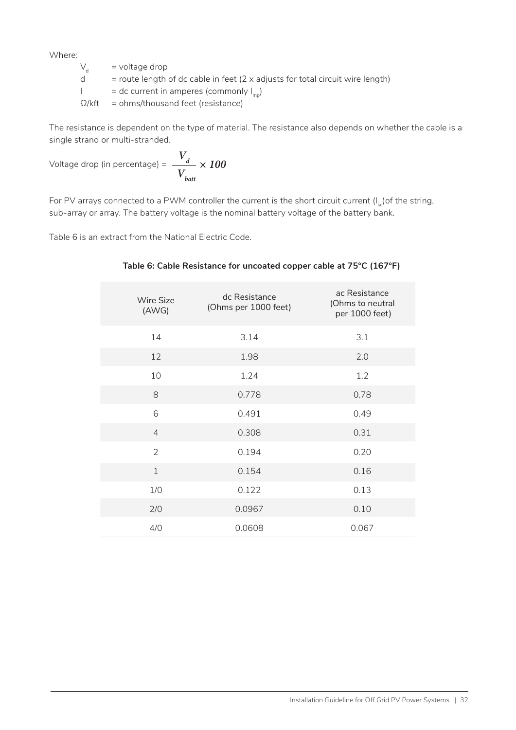Where:  $V_d$ 

 $V_d$  = voltage drop<br>d = route length

 $=$  route length of dc cable in feet (2 x adjusts for total circuit wire length)

 $I = dc$  current in amperes (commonly  $I_{mn}$ )

 $\Omega$ /kft = ohms/thousand feet (resistance)

The resistance is dependent on the type of material. The resistance also depends on whether the cable is a single strand or multi-stranded.

$$
\text{Voltage drop (in percentage)} = \frac{V_d}{V_{batt}} \times 100
$$

For PV arrays connected to a PWM controller the current is the short circuit current  $(I_{s})$ of the string, sub-array or array. The battery voltage is the nominal battery voltage of the battery bank.

Table 6 is an extract from the National Electric Code.

| <b>Wire Size</b><br>(AWG) | dc Resistance<br>(Ohms per 1000 feet) | ac Resistance<br>(Ohms to neutral<br>per 1000 feet) |
|---------------------------|---------------------------------------|-----------------------------------------------------|
| 14                        | 3.14                                  | 3.1                                                 |
| 12                        | 1.98                                  | 2.0                                                 |
| 10                        | 1.24                                  | 1.2                                                 |
| 8                         | 0.778                                 | 0.78                                                |
| 6                         | 0.491                                 | 0.49                                                |
| $\overline{4}$            | 0.308                                 | 0.31                                                |
| $\overline{2}$            | 0.194                                 | 0.20                                                |
| $\mathbf{1}$              | 0.154                                 | 0.16                                                |
| 1/0                       | 0.122                                 | 0.13                                                |
| 2/0                       | 0.0967                                | 0.10                                                |
| 4/0                       | 0.0608                                | 0.067                                               |

#### **Table 6: Cable Resistance for uncoated copper cable at 75°C (167°F)**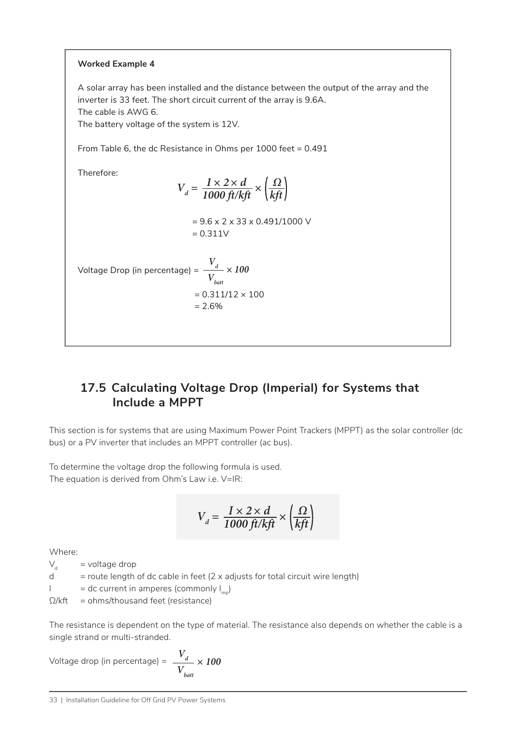#### **Worked Example 4**

A solar array has been installed and the distance between the output of the array and the inverter is 33 feet. The short circuit current of the array is 9.6A. The cable is AWG 6.

The battery voltage of the system is 12V.

From Table 6, the dc Resistance in Ohms per 1000 feet = 0.491

Therefore:

$$
V_d = \frac{I \times 2 \times d}{1000 \text{ ft/kft}} \times \left(\frac{\Omega}{\text{kft}}\right)
$$

$$
= 9.6 \times 2 \times 33 \times 0.491/1000 \text{ V}
$$

$$
= 0.311 \text{ V}
$$

Voltage Drop (in percentage) =  $\frac{V_d}{V_d}$  $= 0.311/12 \times 100$  $= 2.6%$ *Vbatt × 100*

#### **17.5 Calculating Voltage Drop (Imperial) for Systems that Include a MPPT**

This section is for systems that are using Maximum Power Point Trackers (MPPT) as the solar controller (dc bus) or a PV inverter that includes an MPPT controller (ac bus).

To determine the voltage drop the following formula is used. The equation is derived from Ohm's Law i.e. V=IR:

$$
V_d = \frac{I \times 2 \times d}{1000 \, \text{ft/kft}} \times \left(\frac{\Omega}{\text{kfft}}\right)
$$

Where:

 $V_{d}$  = voltage drop

 $d =$  route length of dc cable in feet (2 x adjusts for total circuit wire length)

 $I = dc$  current in amperes (commonly  $I_{mg}$ )

 $\Omega$ /kft = ohms/thousand feet (resistance)

The resistance is dependent on the type of material. The resistance also depends on whether the cable is a single strand or multi-stranded.

Voltage drop (in percentage) = *Vd Vbatt × 100*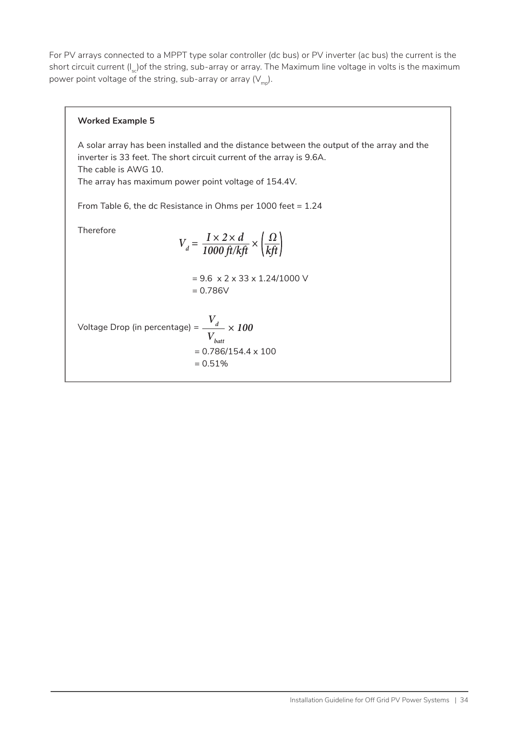For PV arrays connected to a MPPT type solar controller (dc bus) or PV inverter (ac bus) the current is the short circuit current (I<sub>sc</sub>) of the string, sub-array or array. The Maximum line voltage in volts is the maximum power point voltage of the string, sub-array or array  $(V_{mn})$ .

#### **Worked Example 5**

A solar array has been installed and the distance between the output of the array and the inverter is 33 feet. The short circuit current of the array is 9.6A. The cable is AWG 10. The array has maximum power point voltage of 154.4V.

From Table 6, the dc Resistance in Ohms per 1000 feet = 1.24

Therefore

$$
V_d = \frac{I \times 2 \times d}{1000 \text{ ft/kft}} \times \left(\frac{\Omega}{\text{kft}}\right)
$$

$$
= 9.6 \times 2 \times 33 \times 1.24/1000 \text{ V}
$$

$$
= 0.786 \text{V}
$$

Voltage Drop (in percentage) = *Vd*  $= 0.786/154.4 \times 100$  $= 0.51%$ *Vbatt × 100*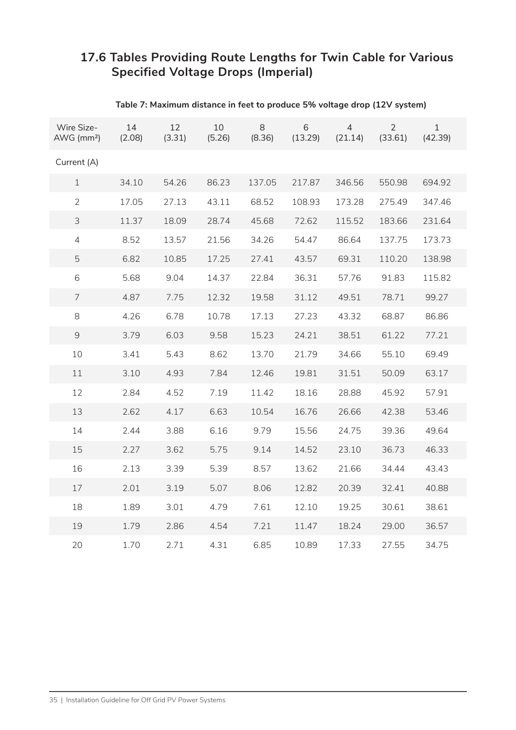#### **17.6 Tables Providing Route Lengths for Twin Cable for Various Specified Voltage Drops (Imperial)**

| Wire Size-<br>AWG (mm <sup>2</sup> ) | 14<br>(2.08) | 12<br>(3.31) | 10<br>(5.26) | 8<br>(8.36) | 6<br>(13.29) | 4<br>(21.14) | $\overline{2}$<br>(33.61) | $\mathbf{1}$<br>(42.39) |  |
|--------------------------------------|--------------|--------------|--------------|-------------|--------------|--------------|---------------------------|-------------------------|--|
| Current (A)                          |              |              |              |             |              |              |                           |                         |  |
| $\mathbf 1$                          | 34.10        | 54.26        | 86.23        | 137.05      | 217.87       | 346.56       | 550.98                    | 694.92                  |  |
| $\overline{2}$                       | 17.05        | 27.13        | 43.11        | 68.52       | 108.93       | 173.28       | 275.49                    | 347.46                  |  |
| 3                                    | 11.37        | 18.09        | 28.74        | 45.68       | 72.62        | 115.52       | 183.66                    | 231.64                  |  |
| $\overline{4}$                       | 8.52         | 13.57        | 21.56        | 34.26       | 54.47        | 86.64        | 137.75                    | 173.73                  |  |
| 5                                    | 6.82         | 10.85        | 17.25        | 27.41       | 43.57        | 69.31        | 110.20                    | 138.98                  |  |
| 6                                    | 5.68         | 9.04         | 14.37        | 22.84       | 36.31        | 57.76        | 91.83                     | 115.82                  |  |
| 7                                    | 4.87         | 7.75         | 12.32        | 19.58       | 31.12        | 49.51        | 78.71                     | 99.27                   |  |
| 8                                    | 4.26         | 6.78         | 10.78        | 17.13       | 27.23        | 43.32        | 68.87                     | 86.86                   |  |
| 9                                    | 3.79         | 6.03         | 9.58         | 15.23       | 24.21        | 38.51        | 61.22                     | 77.21                   |  |
| 10                                   | 3.41         | 5.43         | 8.62         | 13.70       | 21.79        | 34.66        | 55.10                     | 69.49                   |  |
| 11                                   | 3.10         | 4.93         | 7.84         | 12.46       | 19.81        | 31.51        | 50.09                     | 63.17                   |  |
| 12                                   | 2.84         | 4.52         | 7.19         | 11.42       | 18.16        | 28.88        | 45.92                     | 57.91                   |  |
| 13                                   | 2.62         | 4.17         | 6.63         | 10.54       | 16.76        | 26.66        | 42.38                     | 53.46                   |  |
| 14                                   | 2.44         | 3.88         | 6.16         | 9.79        | 15.56        | 24.75        | 39.36                     | 49.64                   |  |
| 15                                   | 2.27         | 3.62         | 5.75         | 9.14        | 14.52        | 23.10        | 36.73                     | 46.33                   |  |
| 16                                   | 2.13         | 3.39         | 5.39         | 8.57        | 13.62        | 21.66        | 34.44                     | 43.43                   |  |
| 17                                   | 2.01         | 3.19         | 5.07         | 8.06        | 12.82        | 20.39        | 32.41                     | 40.88                   |  |
| 18                                   | 1.89         | 3.01         | 4.79         | 7.61        | 12.10        | 19.25        | 30.61                     | 38.61                   |  |
| 19                                   | 1.79         | 2.86         | 4.54         | 7.21        | 11.47        | 18.24        | 29.00                     | 36.57                   |  |
| 20                                   | 1.70         | 2.71         | 4.31         | 6.85        | 10.89        | 17.33        | 27.55                     | 34.75                   |  |

#### **Table 7: Maximum distance in feet to produce 5% voltage drop (12V system)**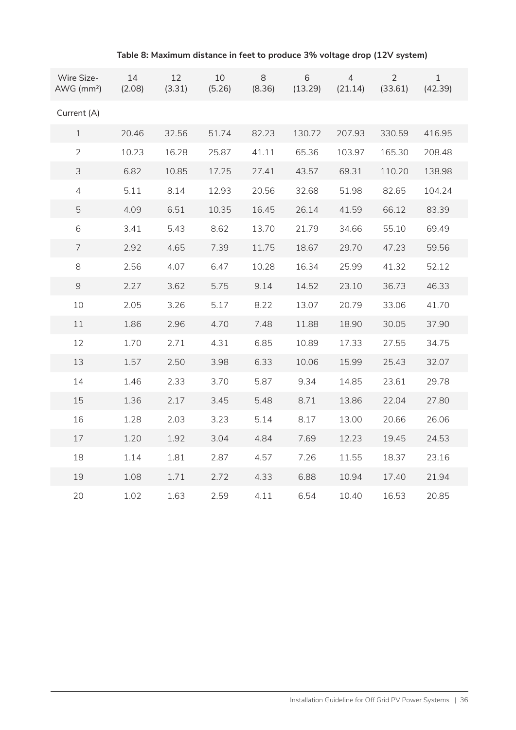| Wire Size-<br>AWG (mm <sup>2</sup> ) | 14<br>(2.08) | 12<br>(3.31) | 10<br>(5.26) | 8<br>(8.36) | 6<br>(13.29) | $\overline{4}$<br>(21.14) | $\overline{2}$<br>(33.61) | $\mathbf{1}$<br>(42.39) |
|--------------------------------------|--------------|--------------|--------------|-------------|--------------|---------------------------|---------------------------|-------------------------|
| Current (A)                          |              |              |              |             |              |                           |                           |                         |
| $\mathbf 1$                          | 20.46        | 32.56        | 51.74        | 82.23       | 130.72       | 207.93                    | 330.59                    | 416.95                  |
| $\overline{2}$                       | 10.23        | 16.28        | 25.87        | 41.11       | 65.36        | 103.97                    | 165.30                    | 208.48                  |
| $\mathfrak{Z}$                       | 6.82         | 10.85        | 17.25        | 27.41       | 43.57        | 69.31                     | 110.20                    | 138.98                  |
| $\overline{4}$                       | 5.11         | 8.14         | 12.93        | 20.56       | 32.68        | 51.98                     | 82.65                     | 104.24                  |
| 5                                    | 4.09         | 6.51         | 10.35        | 16.45       | 26.14        | 41.59                     | 66.12                     | 83.39                   |
| 6                                    | 3.41         | 5.43         | 8.62         | 13.70       | 21.79        | 34.66                     | 55.10                     | 69.49                   |
| $\overline{7}$                       | 2.92         | 4.65         | 7.39         | 11.75       | 18.67        | 29.70                     | 47.23                     | 59.56                   |
| 8                                    | 2.56         | 4.07         | 6.47         | 10.28       | 16.34        | 25.99                     | 41.32                     | 52.12                   |
| $\overline{9}$                       | 2.27         | 3.62         | 5.75         | 9.14        | 14.52        | 23.10                     | 36.73                     | 46.33                   |
| 10                                   | 2.05         | 3.26         | 5.17         | 8.22        | 13.07        | 20.79                     | 33.06                     | 41.70                   |
| 11                                   | 1.86         | 2.96         | 4.70         | 7.48        | 11.88        | 18.90                     | 30.05                     | 37.90                   |
| 12                                   | 1.70         | 2.71         | 4.31         | 6.85        | 10.89        | 17.33                     | 27.55                     | 34.75                   |
| 13                                   | 1.57         | 2.50         | 3.98         | 6.33        | 10.06        | 15.99                     | 25.43                     | 32.07                   |
| 14                                   | 1.46         | 2.33         | 3.70         | 5.87        | 9.34         | 14.85                     | 23.61                     | 29.78                   |
| 15                                   | 1.36         | 2.17         | 3.45         | 5.48        | 8.71         | 13.86                     | 22.04                     | 27.80                   |
| 16                                   | 1.28         | 2.03         | 3.23         | 5.14        | 8.17         | 13.00                     | 20.66                     | 26.06                   |
| 17                                   | 1.20         | 1.92         | 3.04         | 4.84        | 7.69         | 12.23                     | 19.45                     | 24.53                   |
| 18                                   | 1.14         | 1.81         | 2.87         | 4.57        | 7.26         | 11.55                     | 18.37                     | 23.16                   |
| 19                                   | 1.08         | 1.71         | 2.72         | 4.33        | 6.88         | 10.94                     | 17.40                     | 21.94                   |
| 20                                   | 1.02         | 1.63         | 2.59         | 4.11        | 6.54         | 10.40                     | 16.53                     | 20.85                   |

#### **Table 8: Maximum distance in feet to produce 3% voltage drop (12V system)**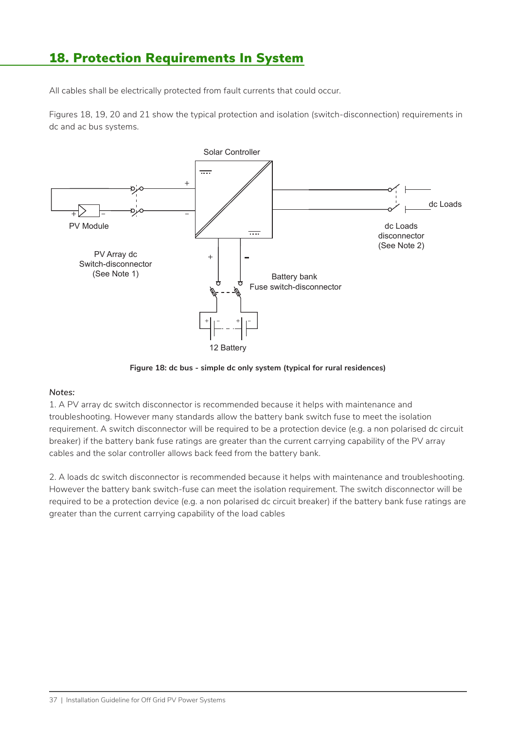### 18. Protection Requirements In System

All cables shall be electrically protected from fault currents that could occur.

Figures 18, 19, 20 and 21 show the typical protection and isolation (switch-disconnection) requirements in dc and ac bus systems.



**Figure 18: dc bus - simple dc only system (typical for rural residences)**

#### *Notes:*

1. A PV array dc switch disconnector is recommended because it helps with maintenance and troubleshooting. However many standards allow the battery bank switch fuse to meet the isolation requirement. A switch disconnector will be required to be a protection device (e.g. a non polarised dc circuit breaker) if the battery bank fuse ratings are greater than the current carrying capability of the PV array cables and the solar controller allows back feed from the battery bank.

2. A loads dc switch disconnector is recommended because it helps with maintenance and troubleshooting. However the battery bank switch-fuse can meet the isolation requirement. The switch disconnector will be required to be a protection device (e.g. a non polarised dc circuit breaker) if the battery bank fuse ratings are greater than the current carrying capability of the load cables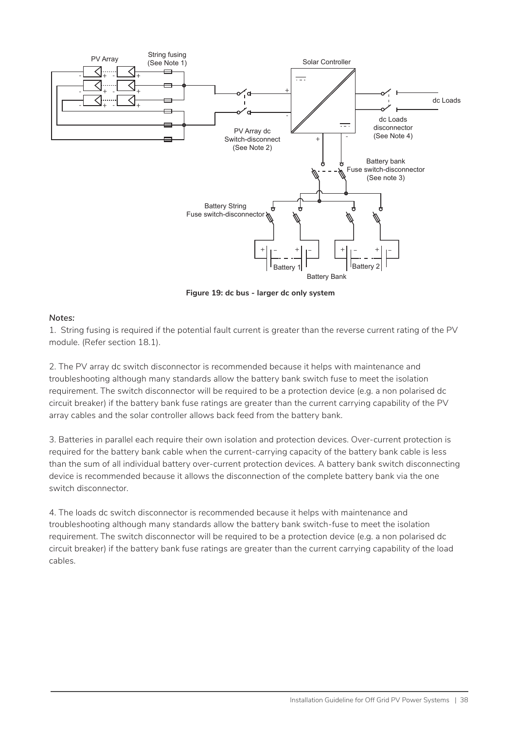

**Figure 19: dc bus - larger dc only system**

#### *Notes:*

1. String fusing is required if the potential fault current is greater than the reverse current rating of the PV module. (Refer section 18.1).

2. The PV array dc switch disconnector is recommended because it helps with maintenance and troubleshooting although many standards allow the battery bank switch fuse to meet the isolation requirement. The switch disconnector will be required to be a protection device (e.g. a non polarised dc circuit breaker) if the battery bank fuse ratings are greater than the current carrying capability of the PV array cables and the solar controller allows back feed from the battery bank.

3. Batteries in parallel each require their own isolation and protection devices. Over-current protection is required for the battery bank cable when the current-carrying capacity of the battery bank cable is less than the sum of all individual battery over-current protection devices. A battery bank switch disconnecting device is recommended because it allows the disconnection of the complete battery bank via the one switch disconnector.

4. The loads dc switch disconnector is recommended because it helps with maintenance and troubleshooting although many standards allow the battery bank switch-fuse to meet the isolation requirement. The switch disconnector will be required to be a protection device (e.g. a non polarised dc circuit breaker) if the battery bank fuse ratings are greater than the current carrying capability of the load cables.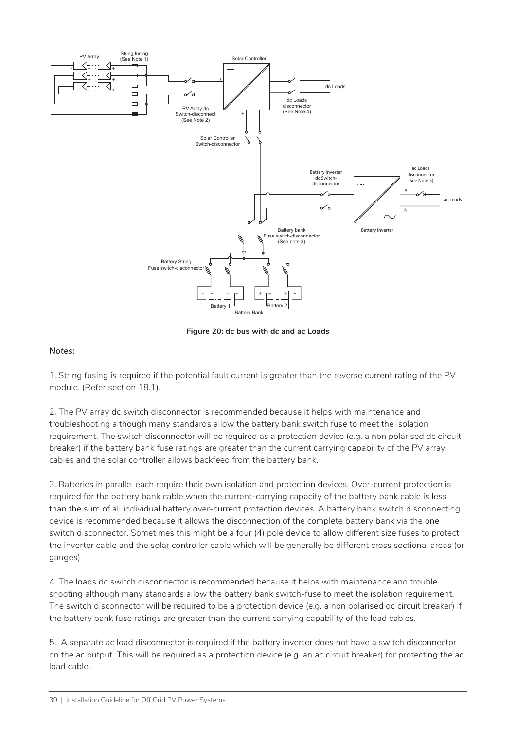

**Figure 20: dc bus with dc and ac Loads**

#### *Notes:*

1. String fusing is required if the potential fault current is greater than the reverse current rating of the PV module. (Refer section 18.1).

2. The PV array dc switch disconnector is recommended because it helps with maintenance and troubleshooting although many standards allow the battery bank switch fuse to meet the isolation requirement. The switch disconnector will be required as a protection device (e.g. a non polarised dc circuit breaker) if the battery bank fuse ratings are greater than the current carrying capability of the PV array cables and the solar controller allows backfeed from the battery bank.

3. Batteries in parallel each require their own isolation and protection devices. Over-current protection is required for the battery bank cable when the current-carrying capacity of the battery bank cable is less than the sum of all individual battery over-current protection devices. A battery bank switch disconnecting device is recommended because it allows the disconnection of the complete battery bank via the one switch disconnector. Sometimes this might be a four (4) pole device to allow different size fuses to protect the inverter cable and the solar controller cable which will be generally be different cross sectional areas (or gauges)

4. The loads dc switch disconnector is recommended because it helps with maintenance and trouble shooting although many standards allow the battery bank switch-fuse to meet the isolation requirement. The switch disconnector will be required to be a protection device (e.g. a non polarised dc circuit breaker) if the battery bank fuse ratings are greater than the current carrying capability of the load cables.

5. A separate ac load disconnector is required if the battery inverter does not have a switch disconnector on the ac output. This will be required as a protection device (e.g. an ac circuit breaker) for protecting the ac load cable.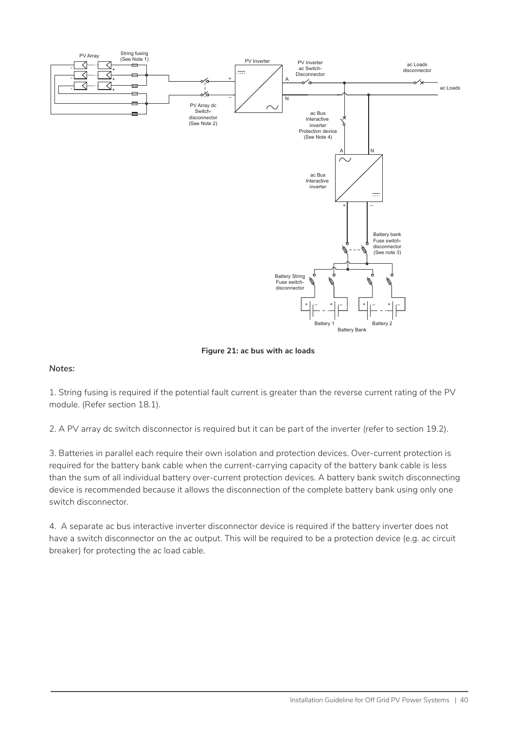

**Figure 21: ac bus with ac loads**

#### *Notes:*

1. String fusing is required if the potential fault current is greater than the reverse current rating of the PV module. (Refer section 18.1).

2. A PV array dc switch disconnector is required but it can be part of the inverter (refer to section 19.2).

3. Batteries in parallel each require their own isolation and protection devices. Over-current protection is required for the battery bank cable when the current-carrying capacity of the battery bank cable is less than the sum of all individual battery over-current protection devices. A battery bank switch disconnecting device is recommended because it allows the disconnection of the complete battery bank using only one switch disconnector.

4. A separate ac bus interactive inverter disconnector device is required if the battery inverter does not have a switch disconnector on the ac output. This will be required to be a protection device (e.g. ac circuit breaker) for protecting the ac load cable.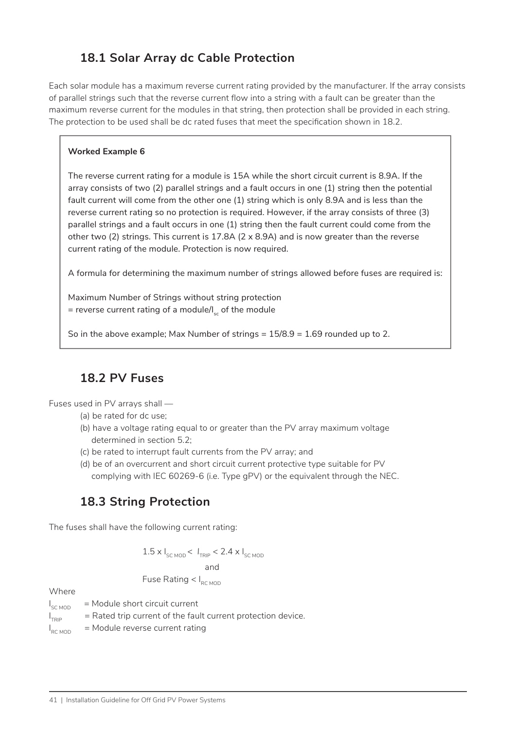### **18.1 Solar Array dc Cable Protection**

Each solar module has a maximum reverse current rating provided by the manufacturer. If the array consists of parallel strings such that the reverse current flow into a string with a fault can be greater than the maximum reverse current for the modules in that string, then protection shall be provided in each string. The protection to be used shall be dc rated fuses that meet the specification shown in 18.2.

#### **Worked Example 6**

The reverse current rating for a module is 15A while the short circuit current is 8.9A. If the array consists of two (2) parallel strings and a fault occurs in one (1) string then the potential fault current will come from the other one (1) string which is only 8.9A and is less than the reverse current rating so no protection is required. However, if the array consists of three (3) parallel strings and a fault occurs in one (1) string then the fault current could come from the other two (2) strings. This current is 17.8A (2 x 8.9A) and is now greater than the reverse current rating of the module. Protection is now required.

A formula for determining the maximum number of strings allowed before fuses are required is:

Maximum Number of Strings without string protection = reverse current rating of a module/ $I_{s}$  of the module

So in the above example; Max Number of strings  $= 15/8.9 = 1.69$  rounded up to 2.

#### **18.2 PV Fuses**

Fuses used in PV arrays shall —

- (a) be rated for dc use;
- (b) have a voltage rating equal to or greater than the PV array maximum voltage determined in section 5.2;
- (c) be rated to interrupt fault currents from the PV array; and
- (d) be of an overcurrent and short circuit current protective type suitable for PV complying with IEC 60269-6 (i.e. Type gPV) or the equivalent through the NEC.

### **18.3 String Protection**

The fuses shall have the following current rating:

$$
1.5 \times I_{\text{SC MOD}} < I_{\text{TRIP}} < 2.4 \times I_{\text{SC MOD}}
$$
\nand

Fuse Rating  $< I<sub>RC MOD</sub>$ 

#### Where

 $I_{\text{SC MOD}}$  $=$  Module short circuit current  $I_{\tau_{\sf DD}}$  $=$  Rated trip current of the fault current protection device.  $I_{RC MOD}$  $=$  Module reverse current rating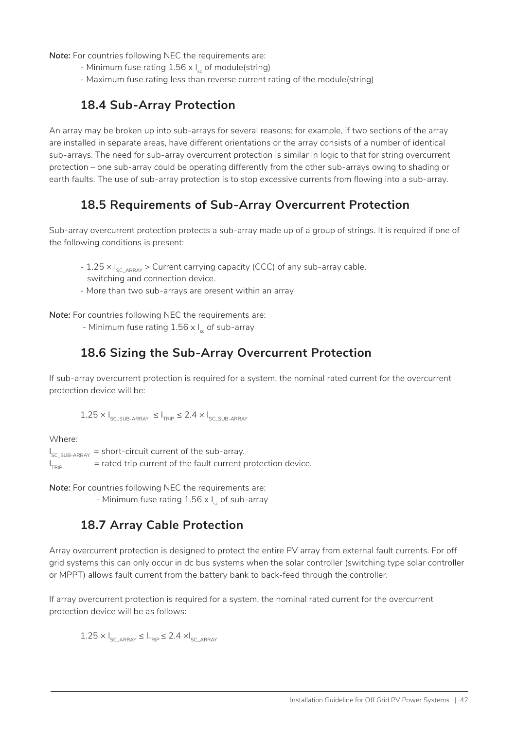*Note:* For countries following NEC the requirements are:

- Minimum fuse rating  $1.56 \times I_{\epsilon}$  of module(string)
- Maximum fuse rating less than reverse current rating of the module(string)

#### **18.4 Sub-Array Protection**

An array may be broken up into sub-arrays for several reasons; for example, if two sections of the array are installed in separate areas, have different orientations or the array consists of a number of identical sub-arrays. The need for sub-array overcurrent protection is similar in logic to that for string overcurrent protection – one sub-array could be operating differently from the other sub-arrays owing to shading or earth faults. The use of sub-array protection is to stop excessive currents from flowing into a sub-array.

#### **18.5 Requirements of Sub-Array Overcurrent Protection**

Sub-array overcurrent protection protects a sub-array made up of a group of strings. It is required if one of the following conditions is present:

- 1.25  $\times$  I<sub>SC\_ARRAY</sub> > Current carrying capacity (CCC) of any sub-array cable, switching and connection device.
- More than two sub-arrays are present within an array

*Note:* For countries following NEC the requirements are:

- Minimum fuse rating  $1.56 \times I_{\odot}$  of sub-array

#### **18.6 Sizing the Sub-Array Overcurrent Protection**

If sub-array overcurrent protection is required for a system, the nominal rated current for the overcurrent protection device will be:

 $1.25 \times I_{SC-SUB-ABBAY} \leq I_{TPID} \leq 2.4 \times I_{SC-SUB-ABBAY}$ 

Where:

 $I_{\text{\tiny{SC\_SUB-ARRAY}}}$  = short-circuit current of the sub-array.  $\vert_{\text{\tiny TDD}}$  $=$  rated trip current of the fault current protection device.

*Note:* For countries following NEC the requirements are:

- Minimum fuse rating  $1.56 \times I_{\odot}$  of sub-array

#### **18.7 Array Cable Protection**

Array overcurrent protection is designed to protect the entire PV array from external fault currents. For off grid systems this can only occur in dc bus systems when the solar controller (switching type solar controller or MPPT) allows fault current from the battery bank to back-feed through the controller.

If array overcurrent protection is required for a system, the nominal rated current for the overcurrent protection device will be as follows:

 $1.25 \times I_{\text{SCADBAY}} \leq I_{\text{TDID}} \leq 2.4 \times I_{\text{SCADBAY}}$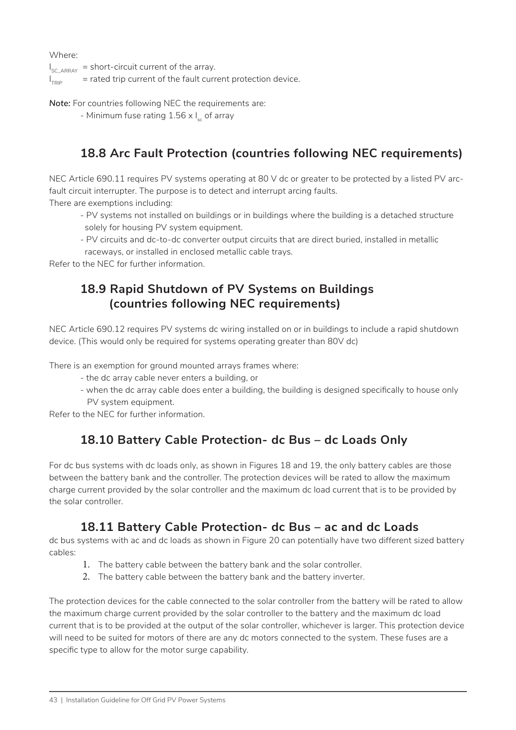Where:

 $I_{SC\_ARRAY}$  = short-circuit current of the array.

 $\vert_{\text{\tiny TDD}}$  $=$  rated trip current of the fault current protection device.

*Note:* For countries following NEC the requirements are:

- Minimum fuse rating  $1.56 \times I_{\odot}$  of array

### **18.8 Arc Fault Protection (countries following NEC requirements)**

NEC Article 690.11 requires PV systems operating at 80 V dc or greater to be protected by a listed PV arcfault circuit interrupter. The purpose is to detect and interrupt arcing faults.

There are exemptions including:

- PV systems not installed on buildings or in buildings where the building is a detached structure solely for housing PV system equipment.
- PV circuits and dc-to-dc converter output circuits that are direct buried, installed in metallic
- raceways, or installed in enclosed metallic cable trays.

Refer to the NEC for further information.

#### **18.9 Rapid Shutdown of PV Systems on Buildings (countries following NEC requirements)**

NEC Article 690.12 requires PV systems dc wiring installed on or in buildings to include a rapid shutdown device. (This would only be required for systems operating greater than 80V dc)

There is an exemption for ground mounted arrays frames where:

- the dc array cable never enters a building, or

- when the dc array cable does enter a building, the building is designed specifically to house only PV system equipment.

Refer to the NEC for further information.

#### **18.10 Battery Cable Protection- dc Bus – dc Loads Only**

For dc bus systems with dc loads only, as shown in Figures 18 and 19, the only battery cables are those between the battery bank and the controller. The protection devices will be rated to allow the maximum charge current provided by the solar controller and the maximum dc load current that is to be provided by the solar controller.

#### **18.11 Battery Cable Protection- dc Bus – ac and dc Loads**

dc bus systems with ac and dc loads as shown in Figure 20 can potentially have two different sized battery cables:

- 1. The battery cable between the battery bank and the solar controller.
- 2. The battery cable between the battery bank and the battery inverter.

The protection devices for the cable connected to the solar controller from the battery will be rated to allow the maximum charge current provided by the solar controller to the battery and the maximum dc load current that is to be provided at the output of the solar controller, whichever is larger. This protection device will need to be suited for motors of there are any dc motors connected to the system. These fuses are a specific type to allow for the motor surge capability.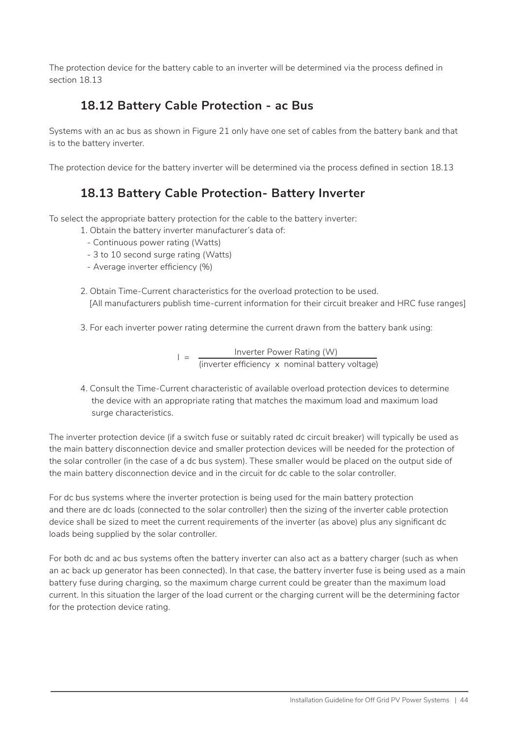The protection device for the battery cable to an inverter will be determined via the process defined in section 18.13

### **18.12 Battery Cable Protection - ac Bus**

Systems with an ac bus as shown in Figure 21 only have one set of cables from the battery bank and that is to the battery inverter.

The protection device for the battery inverter will be determined via the process defined in section 18.13

#### **18.13 Battery Cable Protection- Battery Inverter**

To select the appropriate battery protection for the cable to the battery inverter:

- 1. Obtain the battery inverter manufacturer's data of:
	- Continuous power rating (Watts)
	- 3 to 10 second surge rating (Watts)
	- Average inverter efficiency (%)
- 2. Obtain Time-Current characteristics for the overload protection to be used. [All manufacturers publish time-current information for their circuit breaker and HRC fuse ranges]
- 3. For each inverter power rating determine the current drawn from the battery bank using:

$$
I = \frac{Inverter Power Rating (W)}{(inverter efficiency \times nominal battery voltage)}
$$

4. Consult the Time-Current characteristic of available overload protection devices to determine the device with an appropriate rating that matches the maximum load and maximum load surge characteristics.

The inverter protection device (if a switch fuse or suitably rated dc circuit breaker) will typically be used as the main battery disconnection device and smaller protection devices will be needed for the protection of the solar controller (in the case of a dc bus system). These smaller would be placed on the output side of the main battery disconnection device and in the circuit for dc cable to the solar controller.

For dc bus systems where the inverter protection is being used for the main battery protection and there are dc loads (connected to the solar controller) then the sizing of the inverter cable protection device shall be sized to meet the current requirements of the inverter (as above) plus any significant dc loads being supplied by the solar controller.

For both dc and ac bus systems often the battery inverter can also act as a battery charger (such as when an ac back up generator has been connected). In that case, the battery inverter fuse is being used as a main battery fuse during charging, so the maximum charge current could be greater than the maximum load current. In this situation the larger of the load current or the charging current will be the determining factor for the protection device rating.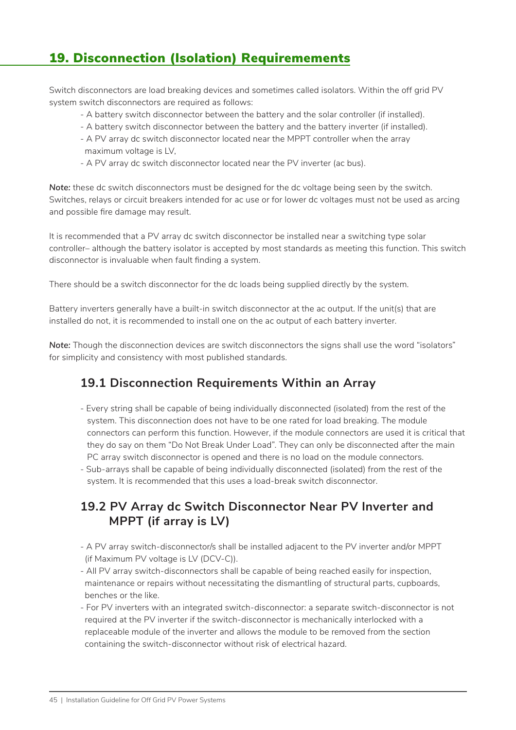# 19. Disconnection (Isolation) Requiremements

Switch disconnectors are load breaking devices and sometimes called isolators. Within the off grid PV system switch disconnectors are required as follows:

- A battery switch disconnector between the battery and the solar controller (if installed).
- A battery switch disconnector between the battery and the battery inverter (if installed).
- A PV array dc switch disconnector located near the MPPT controller when the array maximum voltage is LV,
- A PV array dc switch disconnector located near the PV inverter (ac bus).

*Note:* these dc switch disconnectors must be designed for the dc voltage being seen by the switch. Switches, relays or circuit breakers intended for ac use or for lower dc voltages must not be used as arcing and possible fire damage may result.

It is recommended that a PV array dc switch disconnector be installed near a switching type solar controller– although the battery isolator is accepted by most standards as meeting this function. This switch disconnector is invaluable when fault finding a system.

There should be a switch disconnector for the dc loads being supplied directly by the system.

Battery inverters generally have a built-in switch disconnector at the ac output. If the unit(s) that are installed do not, it is recommended to install one on the ac output of each battery inverter.

*Note:* Though the disconnection devices are switch disconnectors the signs shall use the word "isolators" for simplicity and consistency with most published standards.

#### **19.1 Disconnection Requirements Within an Array**

- Every string shall be capable of being individually disconnected (isolated) from the rest of the system. This disconnection does not have to be one rated for load breaking. The module connectors can perform this function. However, if the module connectors are used it is critical that they do say on them "Do Not Break Under Load". They can only be disconnected after the main PC array switch disconnector is opened and there is no load on the module connectors.
- Sub-arrays shall be capable of being individually disconnected (isolated) from the rest of the system. It is recommended that this uses a load-break switch disconnector.

#### **19.2 PV Array dc Switch Disconnector Near PV Inverter and MPPT (if array is LV)**

- A PV array switch-disconnector/s shall be installed adjacent to the PV inverter and/or MPPT (if Maximum PV voltage is LV (DCV-C)).
- All PV array switch-disconnectors shall be capable of being reached easily for inspection, maintenance or repairs without necessitating the dismantling of structural parts, cupboards, benches or the like.
- For PV inverters with an integrated switch-disconnector: a separate switch-disconnector is not required at the PV inverter if the switch-disconnector is mechanically interlocked with a replaceable module of the inverter and allows the module to be removed from the section containing the switch-disconnector without risk of electrical hazard.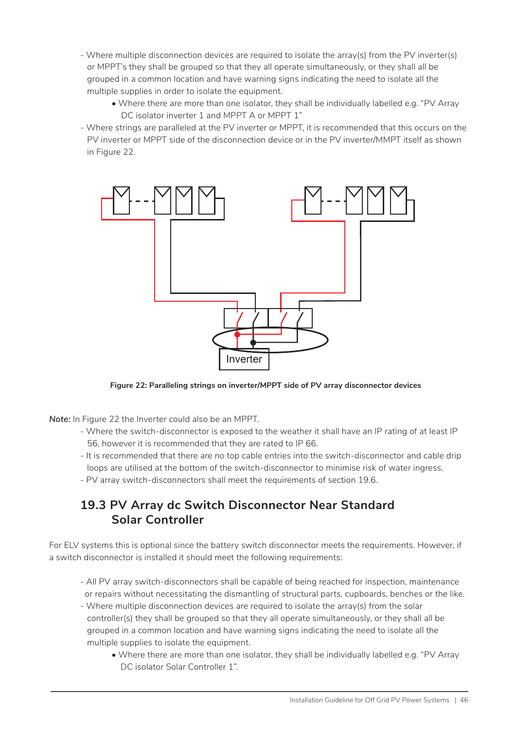- Where multiple disconnection devices are required to isolate the array(s) from the PV inverter(s) or MPPT's they shall be grouped so that they all operate simultaneously, or they shall all be grouped in a common location and have warning signs indicating the need to isolate all the multiple supplies in order to isolate the equipment.
	- Where there are more than one isolator, they shall be individually labelled e.g. "PV Array DC isolator inverter 1 and MPPT A or MPPT 1"
- Where strings are paralleled at the PV inverter or MPPT, it is recommended that this occurs on the PV inverter or MPPT side of the disconnection device or in the PV inverter/MMPT itself as shown in Figure 22.



#### **Figure 22: Paralleling strings on inverter/MPPT side of PV array disconnector devices**

*Note:* In Figure 22 the Inverter could also be an MPPT.

- Where the switch-disconnector is exposed to the weather it shall have an IP rating of at least IP 56, however it is recommended that they are rated to IP 66.
- It is recommended that there are no top cable entries into the switch-disconnector and cable drip loops are utilised at the bottom of the switch-disconnector to minimise risk of water ingress.
- PV array switch-disconnectors shall meet the requirements of section 19.6.

#### **19.3 PV Array dc Switch Disconnector Near Standard Solar Controller**

For ELV systems this is optional since the battery switch disconnector meets the requirements. However, if a switch disconnector is installed it should meet the following requirements:

- All PV array switch-disconnectors shall be capable of being reached for inspection, maintenance or repairs without necessitating the dismantling of structural parts, cupboards, benches or the like.
- Where multiple disconnection devices are required to isolate the array(s) from the solar controller(s) they shall be grouped so that they all operate simultaneously, or they shall all be grouped in a common location and have warning signs indicating the need to isolate all the multiple supplies to isolate the equipment.
	- Where there are more than one isolator, they shall be individually labelled e.g. "PV Array DC isolator Solar Controller 1".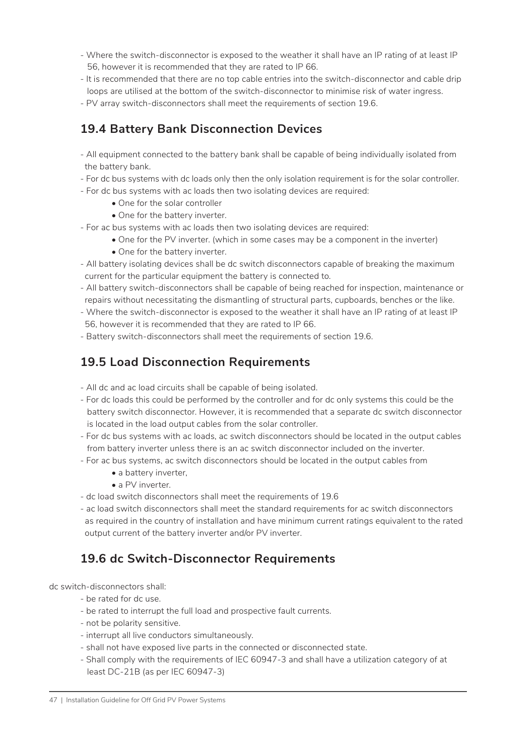- Where the switch-disconnector is exposed to the weather it shall have an IP rating of at least IP 56, however it is recommended that they are rated to IP 66.
- It is recommended that there are no top cable entries into the switch-disconnector and cable drip loops are utilised at the bottom of the switch-disconnector to minimise risk of water ingress.
- PV array switch-disconnectors shall meet the requirements of section 19.6.

#### **19.4 Battery Bank Disconnection Devices**

- All equipment connected to the battery bank shall be capable of being individually isolated from the battery bank.
- For dc bus systems with dc loads only then the only isolation requirement is for the solar controller.
- For dc bus systems with ac loads then two isolating devices are required:
	- One for the solar controller
	- One for the battery inverter.
- For ac bus systems with ac loads then two isolating devices are required:
	- One for the PV inverter. (which in some cases may be a component in the inverter)
		- One for the battery inverter.
- All battery isolating devices shall be dc switch disconnectors capable of breaking the maximum current for the particular equipment the battery is connected to.
- All battery switch-disconnectors shall be capable of being reached for inspection, maintenance or repairs without necessitating the dismantling of structural parts, cupboards, benches or the like.
- Where the switch-disconnector is exposed to the weather it shall have an IP rating of at least IP 56, however it is recommended that they are rated to IP 66.
- Battery switch-disconnectors shall meet the requirements of section 19.6.

#### **19.5 Load Disconnection Requirements**

- All dc and ac load circuits shall be capable of being isolated.
- For dc loads this could be performed by the controller and for dc only systems this could be the battery switch disconnector. However, it is recommended that a separate dc switch disconnector is located in the load output cables from the solar controller.
- For dc bus systems with ac loads, ac switch disconnectors should be located in the output cables from battery inverter unless there is an ac switch disconnector included on the inverter.
- For ac bus systems, ac switch disconnectors should be located in the output cables from
	- a battery inverter.
	- a PV inverter.
- dc load switch disconnectors shall meet the requirements of 19.6
- ac load switch disconnectors shall meet the standard requirements for ac switch disconnectors as required in the country of installation and have minimum current ratings equivalent to the rated output current of the battery inverter and/or PV inverter.

#### **19.6 dc Switch-Disconnector Requirements**

dc switch-disconnectors shall:

- be rated for dc use.
- be rated to interrupt the full load and prospective fault currents.
- not be polarity sensitive.
- interrupt all live conductors simultaneously.
- shall not have exposed live parts in the connected or disconnected state.
- Shall comply with the requirements of IEC 60947-3 and shall have a utilization category of at least DC-21B (as per IEC 60947-3)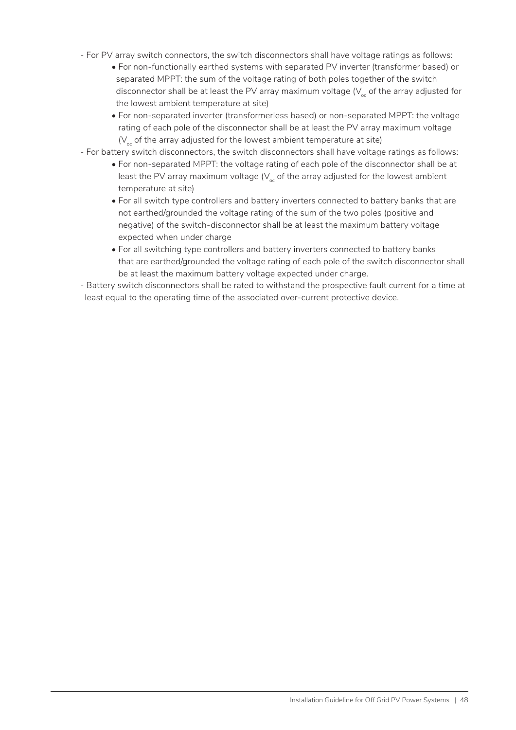- For PV array switch connectors, the switch disconnectors shall have voltage ratings as follows:
	- For non-functionally earthed systems with separated PV inverter (transformer based) or separated MPPT: the sum of the voltage rating of both poles together of the switch disconnector shall be at least the PV array maximum voltage  $(V_{\alpha})$  of the array adjusted for the lowest ambient temperature at site)
	- For non-separated inverter (transformerless based) or non-separated MPPT: the voltage rating of each pole of the disconnector shall be at least the PV array maximum voltage  $(V_{\infty})$  of the array adjusted for the lowest ambient temperature at site)
- For battery switch disconnectors, the switch disconnectors shall have voltage ratings as follows:
	- For non-separated MPPT: the voltage rating of each pole of the disconnector shall be at least the PV array maximum voltage  $(V_{\alpha})$  of the array adjusted for the lowest ambient temperature at site)
	- For all switch type controllers and battery inverters connected to battery banks that are not earthed/grounded the voltage rating of the sum of the two poles (positive and negative) of the switch-disconnector shall be at least the maximum battery voltage expected when under charge
	- For all switching type controllers and battery inverters connected to battery banks that are earthed/grounded the voltage rating of each pole of the switch disconnector shall be at least the maximum battery voltage expected under charge.

- Battery switch disconnectors shall be rated to withstand the prospective fault current for a time at least equal to the operating time of the associated over-current protective device.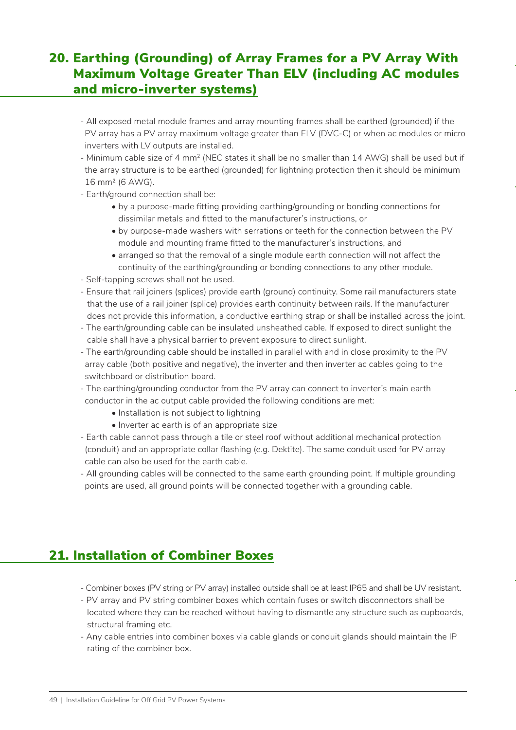### 20. Earthing (Grounding) of Array Frames for a PV Array With Maximum Voltage Greater Than ELV (including AC modules and micro-inverter systems)

- All exposed metal module frames and array mounting frames shall be earthed (grounded) if the PV array has a PV array maximum voltage greater than ELV (DVC-C) or when ac modules or micro inverters with LV outputs are installed.
- Minimum cable size of 4 mm<sup>2</sup> (NEC states it shall be no smaller than 14 AWG) shall be used but if the array structure is to be earthed (grounded) for lightning protection then it should be minimum 16 mm2 (6 AWG).
- Earth/ground connection shall be:
	- by a purpose-made fitting providing earthing/grounding or bonding connections for dissimilar metals and fitted to the manufacturer's instructions, or
	- by purpose-made washers with serrations or teeth for the connection between the PV module and mounting frame fitted to the manufacturer's instructions, and
	- arranged so that the removal of a single module earth connection will not affect the continuity of the earthing/grounding or bonding connections to any other module.
- Self-tapping screws shall not be used.
- Ensure that rail joiners (splices) provide earth (ground) continuity. Some rail manufacturers state that the use of a rail joiner (splice) provides earth continuity between rails. If the manufacturer does not provide this information, a conductive earthing strap or shall be installed across the joint.
- The earth/grounding cable can be insulated unsheathed cable. If exposed to direct sunlight the cable shall have a physical barrier to prevent exposure to direct sunlight.
- The earth/grounding cable should be installed in parallel with and in close proximity to the PV array cable (both positive and negative), the inverter and then inverter ac cables going to the switchboard or distribution board.
- The earthing/grounding conductor from the PV array can connect to inverter's main earth conductor in the ac output cable provided the following conditions are met:
	- Installation is not subject to lightning
	- Inverter ac earth is of an appropriate size
- Earth cable cannot pass through a tile or steel roof without additional mechanical protection (conduit) and an appropriate collar flashing (e.g. Dektite). The same conduit used for PV array cable can also be used for the earth cable.
- All grounding cables will be connected to the same earth grounding point. If multiple grounding points are used, all ground points will be connected together with a grounding cable.

### 21. Installation of Combiner Boxes

- Combiner boxes (PV string or PV array) installed outside shall be at least IP65 and shall be UV resistant.
- PV array and PV string combiner boxes which contain fuses or switch disconnectors shall be located where they can be reached without having to dismantle any structure such as cupboards, structural framing etc.
- Any cable entries into combiner boxes via cable glands or conduit glands should maintain the IP rating of the combiner box.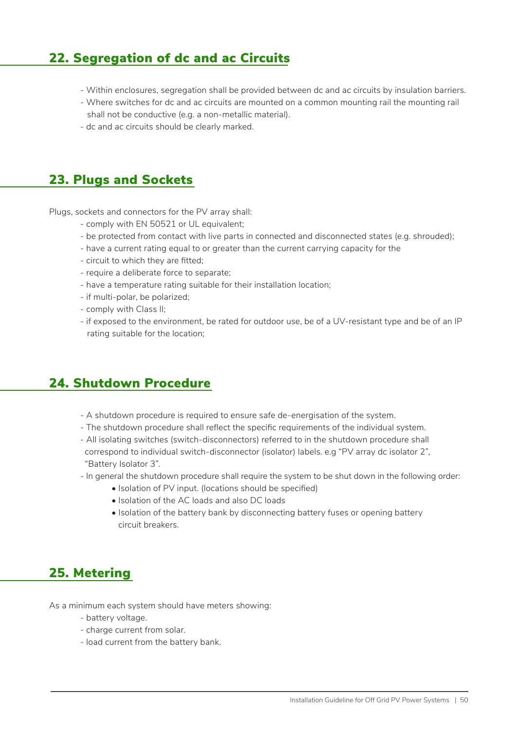### 22. Segregation of dc and ac Circuits

- Within enclosures, segregation shall be provided between dc and ac circuits by insulation barriers.
- Where switches for dc and ac circuits are mounted on a common mounting rail the mounting rail shall not be conductive (e.g. a non-metallic material).
- dc and ac circuits should be clearly marked.

#### 23. Plugs and Sockets

Plugs, sockets and connectors for the PV array shall:

- comply with EN 50521 or UL equivalent;
- be protected from contact with live parts in connected and disconnected states (e.g. shrouded);
- have a current rating equal to or greater than the current carrying capacity for the
- circuit to which they are fitted;
- require a deliberate force to separate;
- have a temperature rating suitable for their installation location;
- if multi-polar, be polarized;
- comply with Class II;
- if exposed to the environment, be rated for outdoor use, be of a UV-resistant type and be of an IP rating suitable for the location;

### 24. Shutdown Procedure

- A shutdown procedure is required to ensure safe de-energisation of the system.
- The shutdown procedure shall reflect the specific requirements of the individual system.
- All isolating switches (switch-disconnectors) referred to in the shutdown procedure shall correspond to individual switch-disconnector (isolator) labels. e.g "PV array dc isolator 2", "Battery Isolator 3".
- In general the shutdown procedure shall require the system to be shut down in the following order:
	- Isolation of PV input. (locations should be specified)
	- Isolation of the AC loads and also DC loads
	- Isolation of the battery bank by disconnecting battery fuses or opening battery circuit breakers.

### 25. Metering

As a minimum each system should have meters showing:

- battery voltage.
- charge current from solar.
- load current from the battery bank.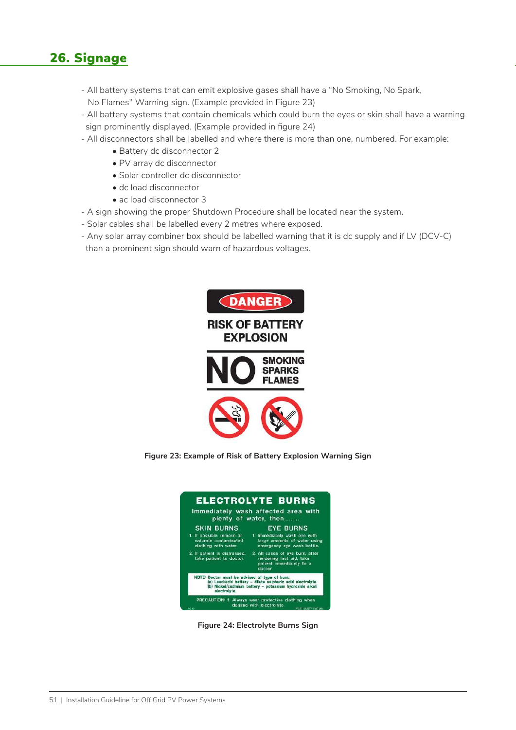### 26. Signage

- All battery systems that can emit explosive gases shall have a "No Smoking, No Spark, No Flames" Warning sign. (Example provided in Figure 23)
- All battery systems that contain chemicals which could burn the eyes or skin shall have a warning sign prominently displayed. (Example provided in figure 24)
- All disconnectors shall be labelled and where there is more than one, numbered. For example:
	- Battery dc disconnector 2
	- PV array dc disconnector
	- Solar controller dc disconnector
	- dc load disconnector
	- ac load disconnector 3
- A sign showing the proper Shutdown Procedure shall be located near the system.
- Solar cables shall be labelled every 2 metres where exposed.
- Any solar array combiner box should be labelled warning that it is dc supply and if LV (DCV-C) than a prominent sign should warn of hazardous voltages.



**Figure 23: Example of Risk of Battery Explosion Warning Sign**



**Figure 24: Electrolyte Burns Sign**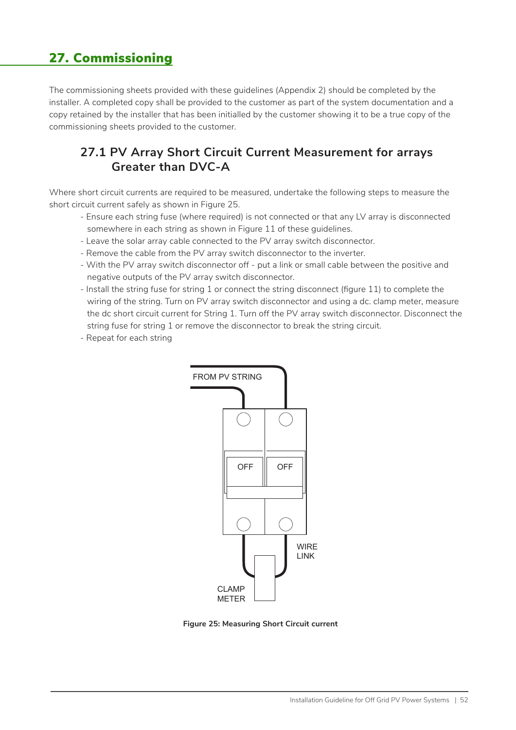## 27. Commissioning

The commissioning sheets provided with these guidelines (Appendix 2) should be completed by the installer. A completed copy shall be provided to the customer as part of the system documentation and a copy retained by the installer that has been initialled by the customer showing it to be a true copy of the commissioning sheets provided to the customer.

#### **27.1 PV Array Short Circuit Current Measurement for arrays Greater than DVC-A**

Where short circuit currents are required to be measured, undertake the following steps to measure the short circuit current safely as shown in Figure 25.

- Ensure each string fuse (where required) is not connected or that any LV array is disconnected somewhere in each string as shown in Figure 11 of these guidelines.
- Leave the solar array cable connected to the PV array switch disconnector.
- Remove the cable from the PV array switch disconnector to the inverter.
- With the PV array switch disconnector off put a link or small cable between the positive and negative outputs of the PV array switch disconnector.
- Install the string fuse for string 1 or connect the string disconnect (figure 11) to complete the wiring of the string. Turn on PV array switch disconnector and using a dc. clamp meter, measure the dc short circuit current for String 1. Turn off the PV array switch disconnector. Disconnect the string fuse for string 1 or remove the disconnector to break the string circuit.
- Repeat for each string



**Figure 25: Measuring Short Circuit current**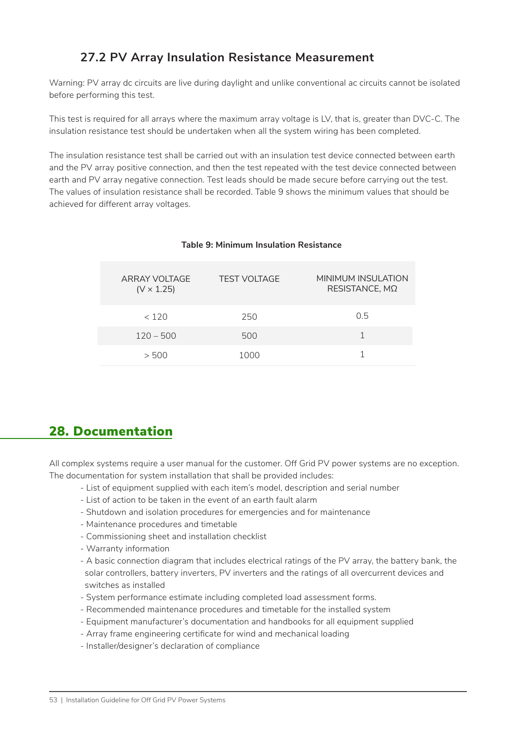### **27.2 PV Array Insulation Resistance Measurement**

Warning: PV array dc circuits are live during daylight and unlike conventional ac circuits cannot be isolated before performing this test.

This test is required for all arrays where the maximum array voltage is LV, that is, greater than DVC-C. The insulation resistance test should be undertaken when all the system wiring has been completed.

The insulation resistance test shall be carried out with an insulation test device connected between earth and the PV array positive connection, and then the test repeated with the test device connected between earth and PV array negative connection. Test leads should be made secure before carrying out the test. The values of insulation resistance shall be recorded. Table 9 shows the minimum values that should be achieved for different array voltages.

| ARRAY VOLTAGE<br>$(V \times 1.25)$ | <b>TEST VOLTAGE</b> | MINIMUM INSULATION<br>RESISTANCE, MΩ |
|------------------------------------|---------------------|--------------------------------------|
| < 120                              | 250                 | 0.5                                  |
| $120 - 500$                        | 500                 |                                      |
| > 500                              | 1000                |                                      |

#### **Table 9: Minimum Insulation Resistance**

#### 28. Documentation

All complex systems require a user manual for the customer. Off Grid PV power systems are no exception. The documentation for system installation that shall be provided includes:

- List of equipment supplied with each item's model, description and serial number
- List of action to be taken in the event of an earth fault alarm
- Shutdown and isolation procedures for emergencies and for maintenance
- Maintenance procedures and timetable
- Commissioning sheet and installation checklist
- Warranty information
- A basic connection diagram that includes electrical ratings of the PV array, the battery bank, the solar controllers, battery inverters, PV inverters and the ratings of all overcurrent devices and switches as installed
- System performance estimate including completed load assessment forms.
- Recommended maintenance procedures and timetable for the installed system
- Equipment manufacturer's documentation and handbooks for all equipment supplied
- Array frame engineering certificate for wind and mechanical loading
- Installer/designer's declaration of compliance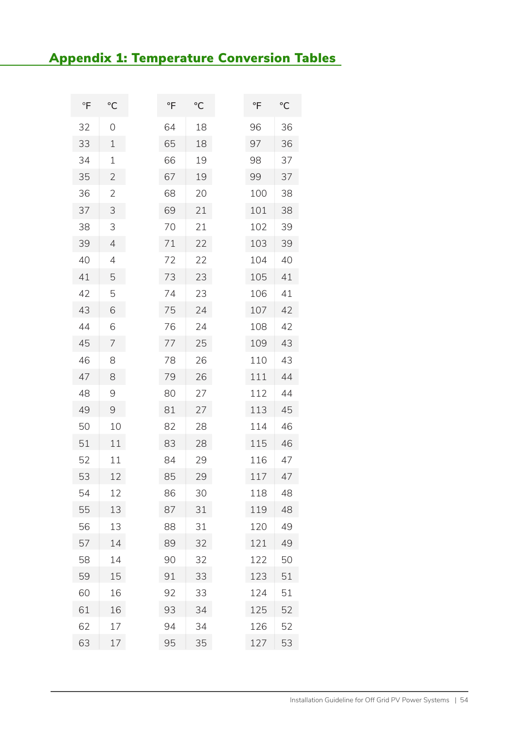# Appendix 1: Temperature Conversion Tables

| $\overline{F}$ | $\rm ^{\circ}C$ | $\overline{F}$ | $\rm ^{\circ}C$ | °F  | $\rm ^{\circ}C$ |
|----------------|-----------------|----------------|-----------------|-----|-----------------|
| 32             | 0               | 64             | 18              | 96  | 36              |
| 33             | 1               | 65             | 18              | 97  | 36              |
| 34             | 1               | 66             | 19              | 98  | 37              |
| 35             | $\overline{2}$  | 67             | 19              | 99  | 37              |
| 36             | $\overline{2}$  | 68             | 20              | 100 | 38              |
| 37             | 3               | 69             | 21              | 101 | 38              |
| 38             | 3               | 70             | 21              | 102 | 39              |
| 39             | $\overline{4}$  | 71             | 22              | 103 | 39              |
| 40             | 4               | 72             | 22              | 104 | 40              |
| 41             | 5               | 73             | 23              | 105 | 41              |
| 42             | 5               | 74             | 23              | 106 | 41              |
| 43             | 6               | 75             | 24              | 107 | 42              |
| 44             | 6               | 76             | 24              | 108 | 42              |
| 45             | 7               | 77             | 25              | 109 | 43              |
| 46             | 8               | 78             | 26              | 110 | 43              |
| 47             | 8               | 79             | 26              | 111 | 44              |
| 48             | $\mathcal{Q}$   | 80             | 27              | 112 | 44              |
| 49             | $\Theta$        | 81             | 27              | 113 | 45              |
| 50             | 10              | 82             | 28              | 114 | 46              |
| 51             | 11              | 83             | 28              | 115 | 46              |
| 52             | 11              | 84             | 29              | 116 | 47              |
| 53             | 12              | 85             | 29              | 117 | 47              |
| 54             | 12              | 86             | 30              | 118 | 48              |
| 55             | 13              | 87             | 31              | 119 | 48              |
| 56             | 13              | 88             | 31              | 120 | 49              |
| 57             | 14              | 89             | 32              | 121 | 49              |
| 58             | 14              | 90             | 32              | 122 | 50              |
| 59             | 15              | 91             | 33              | 123 | 51              |
| 60             | 16              | 92             | 33              | 124 | 51              |
| 61             | 16              | 93             | 34              | 125 | 52              |
| 62             | 17              | 94             | 34              | 126 | 52              |
| 63             | 17              | 95             | 35              | 127 | 53              |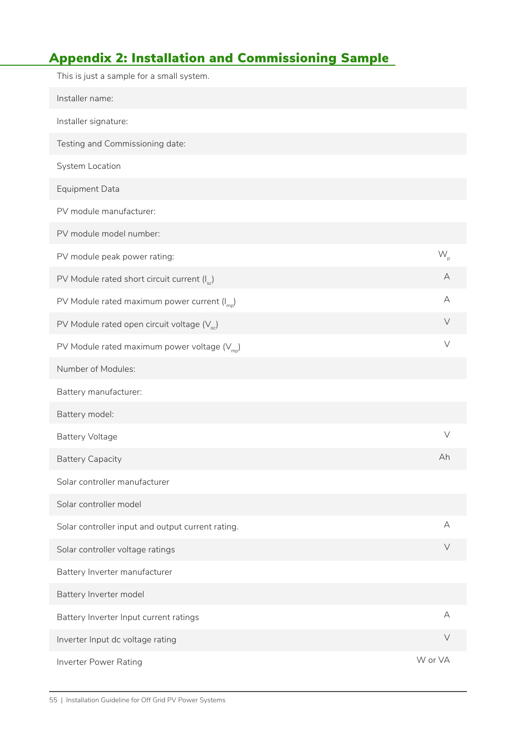# Appendix 2: Installation and Commissioning Sample

| This is just a sample for a small system.                |         |
|----------------------------------------------------------|---------|
| Installer name:                                          |         |
| Installer signature:                                     |         |
| Testing and Commissioning date:                          |         |
| System Location                                          |         |
| <b>Equipment Data</b>                                    |         |
| PV module manufacturer:                                  |         |
| PV module model number:                                  |         |
| PV module peak power rating:                             | $W_{n}$ |
| PV Module rated short circuit current (I <sub>sc</sub> ) | A       |
| PV Module rated maximum power current $(I_{\text{mo}})$  | А       |
| PV Module rated open circuit voltage $(V_{\alpha})$      | $\vee$  |
| PV Module rated maximum power voltage $(V_{\text{mp}})$  | $\vee$  |
| Number of Modules:                                       |         |
| Battery manufacturer:                                    |         |
| Battery model:                                           |         |
| <b>Battery Voltage</b>                                   | $\vee$  |
| <b>Battery Capacity</b>                                  | Ah      |
| Solar controller manufacturer                            |         |
| Solar controller model                                   |         |
| Solar controller input and output current rating.        | A       |
| Solar controller voltage ratings                         | $\vee$  |
| Battery Inverter manufacturer                            |         |
| Battery Inverter model                                   |         |
| Battery Inverter Input current ratings                   | A       |
| Inverter Input dc voltage rating                         | $\vee$  |
| Inverter Power Rating                                    | W or VA |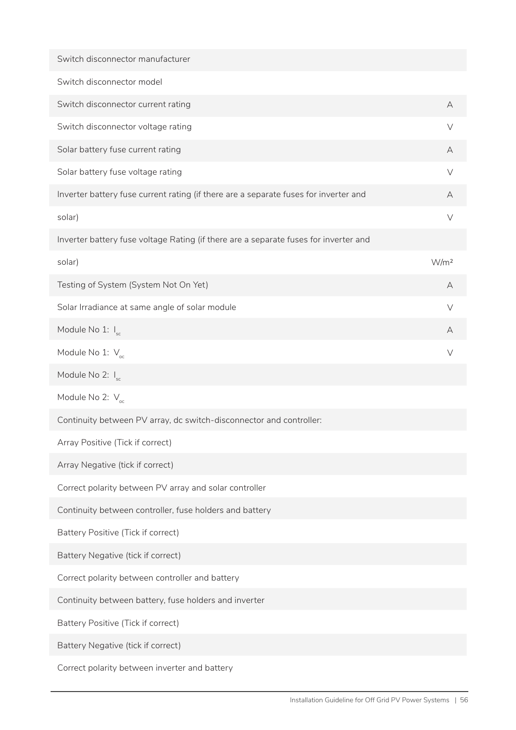| Switch disconnector manufacturer                                                     |                  |
|--------------------------------------------------------------------------------------|------------------|
| Switch disconnector model                                                            |                  |
| Switch disconnector current rating                                                   | A                |
| Switch disconnector voltage rating                                                   | $\vee$           |
| Solar battery fuse current rating                                                    | A                |
| Solar battery fuse voltage rating                                                    | V                |
| Inverter battery fuse current rating (if there are a separate fuses for inverter and | А                |
| solar)                                                                               | $\vee$           |
| Inverter battery fuse voltage Rating (if there are a separate fuses for inverter and |                  |
| solar)                                                                               | W/m <sup>2</sup> |
| Testing of System (System Not On Yet)                                                | A                |
| Solar Irradiance at same angle of solar module                                       | $\vee$           |
| Module No 1: I <sub>sc</sub>                                                         | A                |
| Module No 1: $V_{\text{oc}}$                                                         | V                |
| Module No 2: $I_{sc}$                                                                |                  |
| Module No 2: $V_{\text{oc}}$                                                         |                  |
| Continuity between PV array, dc switch-disconnector and controller:                  |                  |
| Array Positive (Tick if correct)                                                     |                  |
| Array Negative (tick if correct)                                                     |                  |
| Correct polarity between PV array and solar controller                               |                  |
| Continuity between controller, fuse holders and battery                              |                  |
| Battery Positive (Tick if correct)                                                   |                  |
| Battery Negative (tick if correct)                                                   |                  |
| Correct polarity between controller and battery                                      |                  |
| Continuity between battery, fuse holders and inverter                                |                  |
| Battery Positive (Tick if correct)                                                   |                  |
| Battery Negative (tick if correct)                                                   |                  |
| Correct polarity between inverter and battery                                        |                  |